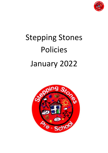

# Stepping Stones Policies January 2022

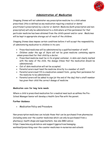

# **Administration of Medication**

Stepping Stones will not administer any prescription medicine to a child unless prescribed. (this is defined as any medication requiring a medical or dental practitioner's prescription) by a doctor or dentist; Medicine (both prescription and nonprescription) will only be administered to a child where written permission for that particular medicine has been obtained from the child's parent and/or carer. Medicines will be kept in appropriate storage out of reach of the children.

Stepping Stones does impose certain conditions before it will accept the responsibility of administering medication to children in its care:

- Prescribed medicines will be administered by a qualified member of staff.
- Children under the age of 16yrs will not be given medicine containing aspirin unless prescribed for that child by a doctor.
- Prescribed medicine must be in its original container, in date and clearly marked with the name of the child, the dosage (times that the medication should be administered)
- Out of date medication will not be accepted.
- Parents/carers must hand the medicine directly to a member of staff.
- Parents/carers must fill in a medication consent form , giving their permission for the medicine to be administered.
- Parents/carers will be asked to sign (at the end of the day) that a staff member has given their child the correct dosage of medicine

#### **Medication care for long term needs**

Where a child is prescribed medication for a medical need such as asthma the Pre-School Manager/senior will develop a Health Care Plan with the parent.

#### **Further Guidance**

• Medication Policy and Procedure

Non-prescription medicines can include those that can be purchased from pharmacies (including some over the counter medicines which can only be purchased from a pharmacy), health shops and supermarkets. See also BMA advice: https://www.bma.org.uk/advice-and-support/gppractices/managingworkload/prescribing-over-the-counter-medicines-in-nurseries-and-schools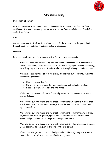

# **Admissions policy**

#### **Statement of intent**

It is our intention to make our pre-school accessible to children and families from all sections of the local community as appropriate per our Inclusion Policy and Equal Opportunities Policy.

#### **Aim**

We aim to ensure that all sections of our community have access to the pre-school through open, fair and clearly communicated procedures.

#### **Methods**

In order to achieve this aim, we operate the following admissions policy.

We ensure that the existence of the pre-school is accessible – in written and spoken form – and, where appropriate, in different languages. Where necessary, we will try to provide information in Braille, or through signing or an interpreter.

We arrange our waiting list in birth order. In addition our policy may take into account the following:

- time on the waiting list.
- the vicinity of the home to the pre-school/which school attending.
- Siblings already attending the pre-school.

We keep a place vacant, if this is financially viable, to accommodate an emergency admission.

We describe our pre-school and its practices in terms which make it clear that it welcomes both fathers and mothers, other relations and other carers, including childminders.

We describe our pre-school and its practices in terms of how it treats individuals, regardless of their gender, special educational needs, disabilities, background, religion, ethnicity or competence in spoken English.

We describe our pre-school and its practices in terms of how it enables children with disabilities to take part in the life of the pre-school.

We monitor the gender and ethnic background of children joining the group to ensure that no accidental discrimination is taking place.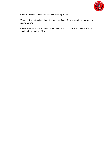

We make our equal opportunities policy widely known.

We consult with families about the opening times of the pre-school to avoid excluding anyone.

We are flexible about attendance patterns to accommodate the needs of individual children and families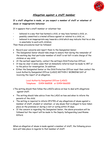

# **Allegation against a staff member**

# **If a staff allegation is made, or you suspect a member of staff or volunteer of abuse or inappropriate behaviour**

If it appears that a staff member or volunteer has:

- behaved in a way that has harmed a child, or may have harmed a child, or,
- possibly committed a criminal offence against or related to a child, or,
- behaved in an inappropriate way towards a child which may indicate that he or she is unsuitable to work with children,

Then these procedures must be followed:

- Record your concerns and report them to the Designated Senior.
- The Designated Senior should take steps to ensure that during the remainder of the working day that particular member of staff is not left in sole charge of the children or any child.
- At the earliest opportunity, contact the setting's Child Protection Officer.
- It may be clear in some cases that an immediate referral must be made to ART or to the police for investigation. In addition:
- Either the Designated Senior or the Child Protection Officer must then contact the Local Authority Designated Officer (LADO) WITHIN 1 WORKING DAY of receiving the report of an allegation.

Local Authority Designated Officer (LADO) Telephone: 01454 868508 or 01454 866000

- The setting should then follow the LADO's advice on how to deal with allegations against staff.
- The setting should take advice from the LADO on how and when to inform the parents of the child.
- The setting is required to inform OFSTED of any allegations of abuse against a member of staff, student or volunteer, or any abuse that is alleged to have taken place on the premises or during a visit or outing within 14 days.
- If the concern is regarding the Designated Senior, the above procedure will be followed but the report will be made to the Deputy Safeguarding Lead Rianna Kilford.

When an allegation of abuse is made against a member of staff, the following procedure will take place in regards to that member of staff: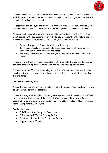

The member of staff will be informed that an allegation has been made but will not be told the details of the allegation, which could prejudice an investigation. The incident or incidents will not be discussed.

To safeguard the employee and to afford a calming down process, the employee will be suspended on full pay for a period of 2 weeks while preliminary enquiries are made.

The owner will in consultation with the area child protection committee / social services, decide on the appropriate action to be taken. Dependent on the nature and seriousness of the allegation, actions could include (but are not limited to): -

- Continued suspension from duty, with or without pay
- Remaining on regular duties but under close supervision at all times (not left alone with any children attending pre-school)
- Attending on restricted sessions only (not attended by the child/children involved)

The employer will act fairly and reasonably at all times and will endeavour to maintain the confidentiality of all those involved as well as the nature of any incident.

The member of staff who is under allegation will not discuss the incident with other members of staff, the media, the children and parents/carers of children attending the pre-school.

# **Outcome of Investigation**

Should the member of staff be cleared of all allegations made, then he/she will return to work with no conditions attached.

Should the allegations be upheld following investigation, then the member of staff will be immediately discharged and the contract of employment will be severed due to breach of terms and conditions (see disciplinary – gross misconduct). No severance or redundancy payment will be made.

- Child Protection Policy and Procedure
- Grievance and Whistle Blowing Policy
- Confidentiality and Data Protection Policy
- Supporting staff policy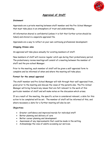

# **Appraisal of Staff**

#### **Statement**

Appraisals are a private meeting between staff member and the Pre-School Manager that must take place in an atmosphere of trust and understanding.

All information shared is confidential (unless it is felt that further action should be taken) and stored in a separate appraisal file.

Appraisals are a way to reflect on your own continuing professional development.

#### **Stepping Stones aims**

An appraisal will take place annually for existing members of staff.

New members of staff will receive regular catch ups during their probationary period. The probationary review meetings will consist of a meeting between the member of staff and the pre-school Manager.

Prior to the meeting, each member of staff will be given a self-appraisal form to complete and be informed of when and where the meeting will take place.

#### **Format for the annual appraisal**

The staff member and Pre-School Manager will talk through their self-appraisal from , given prior to the meeting and discuss the views of the parents also. The Pre-School Manager will bring forward any issues that are felt relevant to the work of this particular member of staff and will make notes on the discussion which arises.

If as a result of the meeting, the specific action is considered relevant, a date for this action to be completed will be set. The member of staff will be informed of this, and where necessary a date for a further meeting will also be set.

#### **Objectives**

- Greater confidence and improved morale for individual staff
- Better planning and delivery of care
- Better career planning and development
- Awareness of any improvements that could be made in the setting
- Acknowledge the view of adults accessing our services.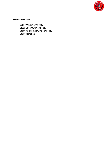

- Supporting staff policy
- Equal Opportunities policy
- Staffing and Recruitment Policy
- Staff Handbook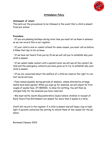

# **Attendance Policy**

## **Statement of intent**

This sets out the procedures to be followed in the event that a child is absent from pre-school.

## **Procedure**

• If you are planning holidays during term time you must let us know in advance so we can record this in our register.

• If your child is sick or cannot attend for some reason, you must call us before 9.30am that day to let us know.

• If we have not heard from you by 10 am we will call you to establish why your child is absent.

• If we cannot make contact with a parent/carer we will use all the contact details and the emergency contacts you have given us to try to establish why your child is absent.

• If we are concerned about the welfare of a child we reserve the right to contact social services.

• Fees remain payable during periods of absence, unless alternative arrangements have been agreed. When you sign up for sessions, we will adjust he first couple of weeks fees, IF NEEDED, to allow for settling. You will then be charged fully for the sessions you have reserved.

• We must notify South Gloucestershire Council where children in receipt of Early Years Free Entitlement are absent for more than 2 weeks in a term.

Staff will record in the register if a child is absent and will keep a log to highlight if parents contacted the setting to inform them of the reason for the absence.

Reviewed January 2022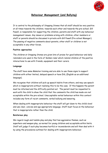

# **Behaviour Management (and Bullying)**

It is central to the philosophy of Stepping Stones that all staff should be very positive at all times towards the children, towards each other and towards the pre-school. Gill Powell, is responsible for supporting the children, parents and staff with any behaviour management issues. Any issues or problems arising with children, other members or staff or parents should be discussed in private with Gill Powell (Pre-school Manager). The passing of negative comments about parents, other staff or children is not acceptable in any other forum.

#### **Positive approaches**

The children at Stepping Stones are given lots of praise for good behaviour and daily reminders are used in the form of 'Golden rules' which remind children of the positive interactions to use with friends, equipment and their carers.

#### **Language**

The staff have some Makaton training and are able to use these signs to support children with either limited, delayed speech or have EAL (English as an additional language).

We recognise that children will pick up speech habits from others, and may use speech which is inappropriate without realising this to be the case. If this happens the parent must be informed and the difficulty pointed out. The parent must be requested to work with the child to show the child that the comments the child has made are not acceptable within the pre-school. Unacceptable verbal behaviour within this context includes any form of racist comments, verbal bullying and swearing.

When dealing with inappropriate behaviour the staff will get down to the child's level and use clear, concise and age appropriate language. Staff must focus on the behaviour that is inappropriate rather than the child.

#### **Boisterous play**

We regard rough and tumble play and play that has aggressive themes, such as superhero and weapon play, as normal for young children and acceptable within limits. Staff will judge if such play becomes hurtful or inconsiderate and will then deal with it by using the procedures outlined for dealing with inappropriate behaviour.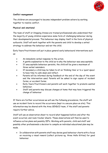

#### **Conflict management**

The children are encouraged to become independent problem solvers by working together to resolve conflict.

#### **Physical and emotional**

The team of staff at Stepping Stones are trained professionals who understand that the majority of young children experience some form of challenging behaviour during their developmental process. This behaviour may display itself in the form of physical outbursts. Staff will work together with the parents and child to develop a united strategy to address the behaviour and not the child.

Early Years Practitioners will put in place general early behavioural interventions such as:

- An immediate verbal response to the action.
- A gentle explanation to the child as to why the behaviour was unacceptable.
- If unacceptable behaviour persists, the child will be given a maximum of three verbal reminders.
- If necessary a child may be taken to sit on 'thinking time' or to a 'quiet space' to have time to calm down and reflect.
- Parents will be informed during feedback at the end of the day of the event and the intervention used. Parents will be asked to sign copies of incident forms, or accident forms.
- Early Years Practitioners and parents will work together to promote wanted behaviour.
- Staff and parents may discuss changes at home that may have triggered the change of behaviour

If there are further occurrences we will use the following procedures, the staff will use an incident form to record the occurrence (kept in a secure place on site). This information may be shared with the Area SENDCO team, if the staff and parents require further advice.

Staff will use an observation sheet to record what happened before and after the event occurred, and room tracker sheets. These observations will then be used to influence action plans and possibly IEP's. Working with parents, child and staff and possibly other professionals a decision to compile an individual educational plan may be made.

• In collaboration with parents staff may devise good behaviour charts with a focus on receiving a visual reward (collect pictures eg. three Hello Kitties) for good behaviour.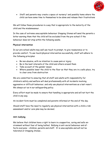

• Staff and parents may create a space at nursery/ and possibly home where the child can have some time to themselves to be alone and release their frustrations

We will follow these procedures in a way that is appropriate to the maturity of the child and the misdemeanour.

In the case of extreme unacceptable behaviour Stepping Stones will send the parents a letter warning them that the child will be excluded from the pre-school if the behaviour does not stop within the following weeks.

#### **Physical intervention**

In our pre-school adults may well use touch to prompt, to give reassurance or to provide comfort. To use touch/physical intervention successfully, staff will adhere to the following principles:

- Be non-abusive, with no intention to cause pain or injury
- Be in the best interests of the child and others around them
- Take account of the gender issues
- Where possible lower the child to the floor so that they are in a safe place, try to clear area from obstruction

We are committed to ensuring that all staff and adults with responsibility for children's safety and welfare will deal professionally with all incidents involving aggressive or difficult behaviour, and only use physical interventions as a last resort. We always act as in our safeguarding policy.

Every effort must be made to ensure that handling is appropriate and will not hurt the child in any way.

An incident form must be completed and parents informed at the end of the day.

Should staff have the need to regularly use physical intervention with a child a risk assessment and/or care plan may be devised.

#### **Anti-bullying**

We believe that children have a right to learn in a supportive, caring and safe environment without fear of being bullied. Bullying is anti-social behaviour and affects everyone – children, parents and staff. It is unacceptable and will not be tolerated at Stepping Stones. .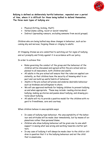

**Bullying is defined as deliberately hurtful behaviour, repeated over a period of time, where it is difficult for those being bullied to defend themselves. The three main types of bullying are:**

- Physical (hitting, kicking, theft)
- Verbal (name calling, racist or sexist remarks)
- Indirect (spreading rumours, excluding someone from social groups)

Children who are being bullied may show changes in behaviour, such as becoming shy and nervous, feigning illness or clinging to adults.

At Stepping Stones we are committed to watching out for signs of bullying and act promptly and firmly against it in accordance with our policy.

In order to achieve this:

- Rules governing the conduct of the group and the behaviour of the children will be discussed and agreed within the pre-school and explained to all newcomers, both children and adults.
- All adults in the pre-school will ensure that the rules are applied consistently, so that children have the security of knowing what to expect and can build up useful habits of behaviour.
- Adults in the pre-school will praise and endorse desirable behaviour such as kindness and willingness to share.
- We will use approved methods for helping children to prevent bullying as and when appropriate. These may include: reading stories about bullying; making up stories and poems about bullying, and drawing pictures about bullying.
- All adults will try to provide a positive model for the children with regard to friendliness, care and courtesy.

When children behave in unacceptable ways:

- In cases of bullying type behaviour, the unacceptability of the behaviour and attitudes will be made clear immediately, but by means of explanations rather than personal blame.
- Children who show bullying behaviour will be given one-to-one adult support in seeing what was wrong and working towards a better pattern.
- In any case of bullying it will always be made clear to the child or children in question that it is the bullying behaviour and not the child that is unwelcome.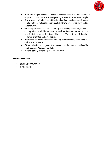

- Adults in the pre-school will make themselves aware of, and respect, a range of cultural expectation regarding interactions between people.
- Any problems with bullying will be handled in a developmentally appropriate fashion, respecting individual children's level of understanding and maturity.
- Recurring problems will be tackled by the whole pre-school, in partnership with the child's parents, using objective observation records to establish an understanding of the cause. This data would then be collated, analysed and acted upon.
- Adults will be aware that some kinds of behaviour may arise from a child's special needs.
- Other behaviour management techniques may be used, as outlined in the Behaviour Management Policy.
- We will comply with the Equality Act 2010

- Equal Opportunities
- Biting Policy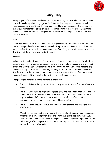

# **Biting Policy**

Biting is part of a normal developmental stage for young children who are teething and are still developing their language skills. It is usually a temporary condition which is most common between 13 and 24 months of age. However, because of the danger this behaviour represents to other children, repeated biting in a group childcare setting cannot be tolerated and requires positive intervention on the part of both the staff and the parents.

#### **Aim**

The staff will maintain a close and constant supervision of the children at all times but due to the speed and randomness with which biting incidents often occur, it is not always possible to prevent these from happening. Our biting policy addresses the actions the staff will take if a biting incident occurs.

#### **Method**

When a biting incident happens it is very scary, frustrating and stressful for children, parents and staff. It is also not something to blame on children, parents or staff, and there are no quick and easy solutions to it. Children bite for a variety of reasons: simple sensory exploration, panic, crowding, seeking to be noticed, or intense desire for a toy. Repeated biting becomes a pattern of learned behaviour that is often hard to stop because it does achieve results: the desired toy, excitement, attention.

Our policy for handling a biting incident is as follows:

- The biter is immediately removed from the group with a firm "No….we don't bite people"
- The bitten child will be comforted immediately and the bitten area attended to i .e. cold pack to bitten area if skin is not broken. If the skin is broken, there may be a risk of infection such as tetanus and Hep B and after first aid measures have been taken, parents should be contacted.
- The bitten area should continue to be observed by parents and staff for signs of infection.
- We will remain calm and firmly remove the child who bites away from the person (whether child or adult) whom they are biting. We might decide to walk away from the child for a short period to emphasise our disapproval. Depending on the child's stage of development, we will implement a period of "time out" in accordance with our behaviour policy.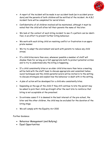

- A report of the incident will be made in our accident book (as in accident procedure) and the parents of both children will be notified of the incident. An A,B,C incident form will be completed for serial biters.
- Confidentiality of all children involved will be maintained, although it must be noted that the child will often tell their parents the name of the biter.
- We look at the context of each biting incident to see if a pattern can be identified, in an effort to prevent further biting behaviour.
- We work with each biting child on resolving conflict or frustration in an appropriate manner.
- We try to adapt the environment and work with parents to reduce any child stress.
- If a child bites more than once, whenever possible a member of staff will shadow them for as long as is felt appropriate both to protect potential victims and to try to understand why the biting is happening.
- If a child consistently bites or an older child bites more than twice a meeting will be held with the staff team to discuss appropriate and consistent behavioural techniques and the child's parents/carers will be invited in to the setting to discuss strategies and explain how the behaviour is dealt with in the setting.
- A plan of action will be developed for a child who consistently bites.
- Depending on the age of the child if they still continue to bite the parent may be asked to pick their child up straight after the next bite to reinforce that biting is not acceptable at the preschool.
- In extreme cases if it is deemed in the best interest of the pre-school, the biter and the other children, the child may be excluded for the duration of the biting stage.
- We will comply with the Equality Act 2010

- Behaviour Management (and Bullying)
- Equal Opportunities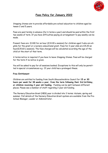

# **Fees Policy for January 2022**

Stepping Stones aim to provide affordable pre-school education to children aged between 2 and 5 years.

Fees are paid termly in advance (for 6 terms a year) and should be paid within the first two weeks of term. If you have difficulties paying an arrangement to pay weekly can be made.

Present fees are: £4.80 for an hour (£14.40 a session) for children aged 3 who are eligible for the grant or a nursery educational grant. Fees for 2 year olds are £5.20 an hour(£15.60 a session). The fees charges will be calculated according the age of the child at the start of that term.

A terms notice is required if you have to leave Stepping Stones. Fees will be charged for the term if no notice is given.

You will be asked to pay for all sessions booked. Exceptions to this will only be permitted in special circumstances e.g.: If your child has a prolonged illness.

#### **Free Entitlement**

Children are entitled to funding from South Gloucestershire Council for **15 or 30 hours per week for 38 weeks a year, from the term following their 3rd birthday, or children receiving 2 year old funding.** Funding can be split between different places. Please see a member of staff regarding 2 year old funding.

The Nursery Education Grant (NEG) year is divided into 3 terms: Autumn, spring and summer. Full details of the Nursery Education Grant system are available from the Pre-School Manager, Leader or Administrator.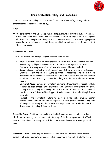

# **Child Protection Policy and Procedure**

This child protection policy and procedure forms part of our safeguarding children arrangements and safeguarding policy.

#### **Aims**

❖ We consider that the welfare of the child is paramount and it is the duty of members, staff and volunteers under HM Government's Working Together to Safeguard children 2015 to implement this policy, and to ensure that it has in place appropriate procedures to safeguard the well-being of children and young people and protect them from abuse

## **Definitions of Abuse**

The 1989 Children Act recognises four categories of abuse:

- **Physical Abuse** actual or likely physical injury to a child, or failure to prevent physical injury. Physical harm may also be caused when a parent or carer fabricates the symptoms of or deliberately induces illness in a child.
- **Sexual Abuse** actual or likely sexual exploitation of a child or adolescent, whether or not the child is aware of what is happening. The child may be dependent or developmentally immature. Sexual abuse also includes non-contact activities, such as involving children in looking at or in the production of sexual images.
- **Emotional Abuse** severe or persistent emotional ill treatment or rejection likely to cause adverse effect on the emotional and behavioural development of a child. It may involve seeing or hearing the ill-treatment of another. Some level of emotional abuse is involved in all types of maltreatment of a child, though it may occur alone.
- **Neglect** the persistent failure to meet a child's basic physical and/or psychological needs, or the failure to protect a child from exposure to any kind of danger, resulting in the significant impairment of a child's health or development, including failure to thrive.

**Domestic Abuse.** Staff may be working with children experiencing violence at home. Children experiencing this may demonstrate many of the below symptoms. Staff will need to treat them sensitively, record their concerns and consider informing Social Care.

**Historical Abuse.** There may be occasions when a child will disclose abuse (either sexual or physical, emotional or neglect) which occurred in the past. This information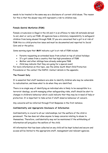

needs to be treated in the same way as a disclosure of current child abuse. The reason for this is that the abuser may still represent a risk to children now.

## **Female Genital Mutilation (FGM)**

Female circumcision is illegal in the UK and it is an offence to take UK nationals abroad to aid, abet or carry out FGM. All agencies have a statutory responsibility to safeguard children from being abused through FGM. If you are concerned that a girl is at risk of FGM this is a child protection issue and must be documented and reported to Social Care and or the police.

Some warning signs that **MAY** indicate a girl is at risk of FGM include:

- Parents requesting an extended leave from school on top of school holidays
- If a girl comes from a country that has high prevalence of FGM
- Mother and other siblings have already undergone FGM
- Child may indicate that they are going for a special event

For more information on this topic, see the online South West Child Protection Procedures or the contact the NSPCC. Contact details in the appendix.

#### **The Prevent Duty**

It is essential that staff members are able to identify children who may be vulnerable to radicalisation, and know what to do when they are identified.

There is no single way of identifying an individual who is likely to be susceptible to a terrorist ideology, as with managing other safeguarding risks, staff should be alert to changes in children's behaviour which could indicate that they may be in need of help or protection. It is important to take action if staff observe behaviour of concern.

Any concerns will be referred through First Response in the first instance.

#### **Confidentiality and Appropriate Disclosure of Information**

Confidentiality is crucial to all our relationships, but the welfare of the child is paramount. The law does not allow anyone to keep concerns relating to abuse to themselves. Therefore, confidentiality may not be maintained if the withholding of information will prejudice the welfare of the child.

All information that has been collected on any child will be kept locked and secure and access will be limited to the appropriate staff, management and relevant agencies.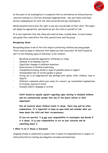

In the event of an investigation it is essential that no information on child protection concerns relating to a child are disclosed inappropriately. Any such leaks could have serious consequences for both the child concerned and any investigation.

Whilst parents/carers have the right to see any records kept on their child. This might not always be appropriate, and should not put the child or yourself at risk.

It is very important that only those who need to know, actually know, to avoid rumour and gossip that could affect the child, parent/carer and the group.

#### **Recognising Abuse**

Recognising abuse is one of the first steps in protecting children and young people. There could be signs or behaviour that makes you feel concerned. All staff should be alert to the following types of behaviour in the children:

- Becoming excessively aggressive, withdrawn or clingy.
- Seeming to be keeping a secret.
- Significant changes in children's behaviour
- Deterioration in children's well-being
- Unexplained bruising, marks or signs of possible abuse or neglect
- Unreasonable fear of certain people or places
- Acting out in an inappropriate way perhaps with adults, other children, toys or objects
- Children's comments which give cause for concern, eg. inconsistent explanations of bruising, injuries or burns
- Sexually explicit language or actions

**Staff should be equally vigilant regarding signs relating to disabled children and not automatically assume that any of the above relates to their impairment.**

**Not all concerns about children relate to abuse, there may well be other explanations. It is important to keep an open mind and consider what you know about the child and their circumstances.**

**If you are worried, it is not your responsibility to investigate and decide if it is abuse. It is your responsibility to act on your concerns and do something about it.**

#### **1.What to do if Abuse is Disclosed**

Stepping Stones is committed to ensure that it meets its responsibilities in respect of child protection by treating any allegation seriously and sensitively.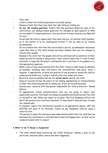

- Stay calm.
- Listen to what the child/young person is actually saying.
- Reassure them that they have done the right thing by telling you.
- **Do not ask leading questions.** Ensure that any questions asked are open or for clarification, not leading/closed questions. For example an open question is: Why are you upset? A closed question is: Are you afraid to home because your Mum will hit you?
- Do not ask the child to repeat what they have told you, for another staff member; as if the matter is to be investigated further it will be done so by trained professionals.
- Do not promise the child that this can be kept a secret, as subsequent disclosure could then lead to the child feeling betrayed. Explain that you are obliged to inform other people.
- Reassure the child that the people who will be informed will be sensitive to their needs and will be looking to help protect them. Inform them that it is not in their interests to keep the disclosure confidential and it will have to be passed on to the appropriate agencies.
- Make a note of any conversations with the child, trying to make these as detailed as possible, including when and where the conversations took place. Draw a diagram, if appropriate, to show the position of any bruises or marks the child or young person shows you, trying to indicate the size, shape and colour.
- Record as soon as possible and use the **actual words** used by the child.
- Keep all records factual. Be aware of not making assumptions or interpretations of what the child/young person is telling you. Store all records securely.
- Discuss your concerns with the person responsible for child protection Rianna Kilford.
- If appropriate, inform parents/carers that you are going to report your suspicions/concerns. This might not always be possible and should not put the child or yourself at risk. When you report an incident, the First Response officer will ask if the parent/carer has been informed. If they haven't they will want to know the reasons why.
- If possible, report this information yourself to an appropriate agency. ART and OFSTED will need to be informed. Follow up any telephone referral using a referral form.
- The person to whom the disclosure was made should ensure that the child who has disclosed the information is informed about what will happen next, so they can be reassured about what to expect.

#### **2.What to do if Abuse is Suspected**

The staff should keep monitoring the child's behaviour, making a note of any particular concerns (when, where and what happened).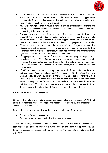

- Discuss concerns with the designated safeguarding officer responsible for child protection. The child's parents/carers should be seen at the earliest opportunity to ascertain if there is a known reason for a change in behaviour (e.g. a change in family make-up, death of family member, pet).
- You should remember that if abuse is taking place, do not assume the parents are causing it, there may be other family members or friends or other individuals who are causing it. Keep an open mind.
- Any member of staff or volunteer can contact the relevant agency to discuss any concerns they have and seek guidance before actually reporting any child protection issues. It is appropriate to seek support from the Child Protection Officer, as to how to deal with situations and confirm appropriate action to take.
- If you are still concerned about the welfare of the child/young person, this information must be passed on to the appropriate agency. It is important to remember that if you report concerns, you are not reporting the parents/carers – you are reporting to protect the welfare of the child.
- If appropriate, inform parents/carers that you are going to report your suspicions/concerns. This might not always be possible and should not put the child or yourself at risk. When you report an incident, the duty officer will ask you if the parent/carer has been informed. If they haven't, they will want to know the reasons why.
- If ART has been contacted and they pass you to Children's Social Care Referral and Assessment Team (Social Services). Social Care should let you know that they are responding to what you have told them. (follow up telephone referral with a written report). It is unlikely that you will be told what action has been taken unless it has implications for the scheme. If you have not heard from the Referral and Assessment Team, it may be appropriate to contact them to ensure that the details you gave them have been taken into consideration and acted upon.

#### **3.What to do if it is an emergency**

If you think a child is in immediate danger you should telephone the police on 999. In all other circumstances you need to refer the matter to Art and follow the procedure described in section 1 above.

In a medical emergency your first action may need to be one of the following:

- Telephone for an ambulance, or,
- Ask the parent to take the child to the hospital at once

The child is the legal responsibility of the parent/carer and they must be involved as soon as practical, unless to do so would put the child at immediate risk of harm. Having taken the necessary emergency action it is important that you make immediate contact with ART.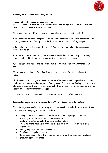

#### **Working with Children and Young People**

#### **Prevent abuse by means of good practice**

Because we are in a small hall it means adults will not be left alone with individual children apart from when taking to the toilet.

Toilet doors will be left ajar/open when a member of staff is aiding a child.

When changing children's nappies, we do so on the changing table in the bathroom or on a changing mat on the floor just inside the toilet with the door left ajar/open.

Adults who have not been registered as 'fit' persons will not take children unaccompanied to the toilet.

All staff and visitors mobile phones are left in marked box locked away in Stepping Stones cupboard in the meeting room for the duration of the session.

When going to the woods the box will be taken with us and not left unattended in the hall.

Pictures only to taken on Stepping Stones' cameras and seniors to be allowed to take home..

Children will be encouraged to develop a sense of autonomy and independence through adult support in making choices and in finding names for their own feelings and acceptable ways to express them. This will enable children to have the self-confidence and the vocabulary to resist inappropriate approaches.

The layout of the playroom will permit constant supervision of all children.

#### **Recognising inappropriate behaviour in staff, volunteers and other adults.**

There is no guaranteed way to identify a person who will harm children. However, there are possible warning signs. These may include:

- Paying an excessive amount of attention to a child or groups of children, providing presents, money or having favourites
- Seeking out vulnerable children, eg: disabled children
- Trying to spend time alone with a particular child or group of children on a regular basis
- Making inappropriate sexual comments
- Sharing inappropriate images
- Being vague about where they have worked or when they have been employed
- Encouraging secretiveness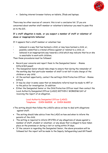

• Deleting internet browser history on tablets, IPads and laptops.

There may be other sources of concern; this is not a conclusive list. If you are concerned about another staff member or volunteer's behaviour you need to pass this on to the Gill..

# **If a staff allegation is made, or you suspect a member of staff or volunteer of abuse or inappropriate behaviour**

If it appears that a staff member or volunteer has:

- behaved in a way that has harmed a child, or may have harmed a child, or,
- possibly committed a criminal offence against or related to a child, or,
- behaved in an inappropriate way towards a child which may indicate that he or she is unsuitable to work with children,

Then these procedures must be followed:

- Record your concerns and report them to the Designated Senior Rianna Kilford/Gill powell
- The Designated Senior should take steps to ensure that during the remainder of the working day that particular member of staff is not left in sole charge of the children or any child.
- At the earliest opportunity, contact the setting's Child Protection Officer Rianna Kilford
- It may be clear in some cases that an immediate referral must be made to ART or to the police for investigation. In addition:
- Either the Designated Senior or the Child Protection Officer must then contact the Local Authority Designated Officer (LADO) WITHIN 1 WORKING DAY of receiving the report of an allegation.

Local Authority Designated Officer (LADO) Telephone: 01454 868508 or 01454 866000

- The setting should then follow the LADO's advice on how to deal with allegations against staff.
- The setting should take advice from the LADO on how and when to inform the parents of the child.
- The setting is required to inform OFSTED of any allegations of abuse against a member of staff, student or volunteer, or any abuse that is alleged to have taken place on the premises or during a visit or outing within 14 days.
- If the concern is regarding the Designated Senior, the above procedure will be followed but the report will be made to the Deputy Safeguarding Lead Gill Powell.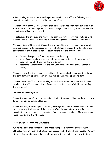

When an allegation of abuse is made against a member of staff, the following procedure will take place in regards to that member of staff:

The member of staff will be informed that an allegation has been made but will not be told the details of the allegation, which could prejudice an investigation. The incident or incidents will not be discussed.

To safeguard the employee and to afford a calming down process, the employee will be suspended on full pay for a period of 2 weeks while preliminary enquiries are made.

The committee will in consultation with the area child protection committee / social services, decide on the appropriate action to be taken. Dependent on the nature and seriousness of the allegation, actions could include (but are not limited to): -

- Continued suspension from duty, with or without pay
- Remaining on regular duties but under close supervision at all times (not left alone with any children attending pre-school)
- Attending on restricted sessions only (not attended by the child/children involved)

The employer will act fairly and reasonably at all times and will endeavour to maintain the confidentiality of all those involved as well as the nature of any incident.

The member of staff who is under allegation will not discuss the incident with other members of staff, the media, the children and parents/carers of children attending the pre-school.

#### **Outcome of Investigation**

Should the member of staff be cleared of all allegations made, then he/she will return to work with no conditions attached.

Should the allegations be upheld following investigation, then the member of staff will be immediately discharged and the contract of employment will be severed due to breach of terms and conditions (see disciplinary – gross misconduct). No severance or redundancy payment will be made.

#### **Recruitment of Staff and Volunteers**

We acknowledge that paedophiles and those that pose a threat to children may be attracted to employment that allows them access to children and young people. As part of this policy we will ensure that people working with the children are safe to do so.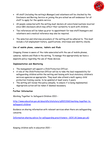

- All staff (including the setting's Manager) and volunteers will be checked by the Disclosure and Barring Service on joining the pre-school we will endeavour for all staff to apply for the update service.
- All people connected with the setting must declare all convictions/cautions incurred since DBS disclosure which may affect their suitability to work with children.
- Two references will be taken up prior to appointment for new staff/managers and volunteers and a medical reference may also be required.
- The selection and interview procedure of the setting will be adhered to. This must include a full employment history, qualifications, interviews and identity checks.

## **Use of mobile phone, cameras, tablets and iPads**

Stepping Stones is aware of the risks associated with the use of mobile phones, cameras, tablets and iPads in the setting. To manage this appropriately we have a separate policy regarding the use of these devices.

#### **Implementation and Monitoring**

- The management will appoint a Child Protection Officer.
- A role of the Child Protection Officer will be to take the lead responsibility for safeguarding children within the setting and liaising with local statutory children's services agencies as appropriate. They must also attend a multi agency child protection training course, to be updated at least every 3 years.
- The setting will review this policy annually, to ensure it is being implemented. Appropriate action will be taken if deemed necessary.
- •

# **Further Information**

Working Together to Safeguard Children 2013 –

[http://www.education.gov.uk/aboutdfe/statutory/g00213160/working-together-to](http://www.education.gov.uk/aboutdfe/statutory/g00213160/working-together-to-safeguard-children)[safeguard-children](http://www.education.gov.uk/aboutdfe/statutory/g00213160/working-together-to-safeguard-children)

Guidance on sharing information with relevant services when there are safeguarding concerns.

Information sharing advice for safeguarding practitioners – GOV.UK (www.gov.uk)

Keeping children safe in education 2021 –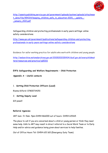

[http://assets.publishing.service.gov.uk/government/uploads/system/uploads/attachmen](http://assets.publishing.service.gov.uk/government/uploads/system/uploads/attachment_data/file/954314/keeping_children_safe_in_education-2020_-_update_-_january_2021.pdf) t data/file/954314/keeping children safe in education-2020 - update -[\\_january\\_2021.pdf](http://assets.publishing.service.gov.uk/government/uploads/system/uploads/attachment_data/file/954314/keeping_children_safe_in_education-2020_-_update_-_january_2021.pdf)

Safeguarding children and protecting professionals in early years settings: online safety considerations.

[http://www.gov.uk/government/publications/safeguarding-children-and-protecting](http://www.gov.uk/government/publications/safeguarding-children-and-protecting-professionals-in-early-years-settings-online-safety-considerations)[professionals-in-early-years-settings-online-safety-considerations](http://www.gov.uk/government/publications/safeguarding-children-and-protecting-professionals-in-early-years-settings-online-safety-considerations)

Guidance for safer working practice for adults who work with children and young people

[http://webarchive.nationalarchives.gov.uk/20100202100434/dcsf.gov.uk/everychildmat](http://webarchive.nationalarchives.gov.uk/20100202100434/dcsf.gov.uk/everychildmatters/resources-and-practice/ig00311) [ters/resources-and-practice/ig00311](http://webarchive.nationalarchives.gov.uk/20100202100434/dcsf.gov.uk/everychildmatters/resources-and-practice/ig00311)

## **EYFS Safeguarding and Welfare Requirements – Child Protection**

*Appendix A – Useful contacts*

#### 1. **Setting Child Protection Officers (Lead)**

Rianna Kilford: 07800734251

2. **Setting Deputy Lead** 

Gill powell

#### **Referral Agencies**

ART mon- fri 9am- 5pm-01454 866000 out of hours- 01454 615165

The place to call if you are concerned about a child or young person or think they need some help. Calls to ART may result in direct referral to a Social Work Team or to Early Help and/or advice and guidance being given about services to help families.

Out of Office Hours Tel: 01454 615 165 (Emergency Duty Team)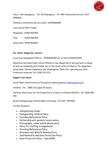

Police: Non emergency – Tel: 101 Emergency – Tel: 999 child protection unit: 0117 9455696

Children's information service (CIS)- 01454868008

Local Social Work Teams:

Kingswood: 01454 865384

Yate: 01454 868700

Severnvale: 01454 866832

#### **For Staff Allegations Contact:**

Local Area Designated Officer: 01454866000 out of hours 01454615165

Registered providers must inform Ofsted of any allegations of serious harm or abuse as soon as reasonably practicable, but at the latest within 14 days of the allegations being made. Ofsted Compliance and Investigation Team (For reporting any Child Protection concerns) Tel: 0300 123 1231

#### **Support and advice**

South West Child Protection Procedures (online guidance) [www.swcpp.org.uk](http://www.swcpp.org.uk/)

Childline -Tel : 0800 1111 (open 24 hours)

National Association for the Prevention of Cruelty to Children (NSPCC) -Tel: 0800 800 500

Bristol Safeguarding Children Board (training) -Tel: 0117 3532505

- Safeguarding Folder
- Safeguarding children Policy
- Providing References Policy
- Partnership with parents/carers policy
- Photography, video, mobile phone policy
- Policy for staffing arrangements
- Providing References Policy
- Grievance and Whistle Blowing Policy
- Confidentiality and Data Protection Policy
- Data Protection Policy New GDPR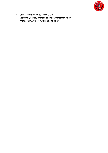

- Data Retention Policy –New GDPR
- Learning Journey storage and transportation Policy.
- Photography, video, mobile phone policy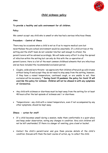

# **Child sickness policy**

#### **Aims**

#### **To provide a healthy and safe environment for all children.**

#### **Policy**

We cannot accept any child who is unwell or who has had a serious infectious illness.

#### **Procedure - Control of illness**

There may be occasions when a child is not so ill as to require medical care but nevertheless the pre-school environment would be unsuitable. If a child arrives at the setting and the staff team do not consider him/her well enough to attend, the parent/carers will be advised accordingly. We will make every effort to stop the spread of infection within the setting but can only do this with the co-operation of parent/carers. Here is a list of the most common childhood ailments that are infectious and we have included the recommended exclusion period.

- Coughs, colds and sore throats we appreciate that children often pick up cold viruses without being ill and accept they do not need to stay away from the setting, however, if they have a raised temperature, continued cough, or are unable to eat, then exclusion will be necessary. **\* During Covid 19 pandemic the policy for Covid 19 will override this policy for sickness. Children will not be allowed in with any symptoms of Coronavirus.**
- Any child with sickness or diarrhoea must be kept away from the setting for at least 48 hours after the last episode of sickness and / or diarrhoea
- Temperatures any child with a raised temperature, even if not accompanied by any other symptoms, should be kept away.

#### **Illness - action for staff**

- If a child becomes unwell during a session, make them comfortable in a quiet place and keep under observation, noting any changes in condition. Very sick children will not be left unattended. If there is a danger of vomiting, give a bowl or bucket.
- Contact the child's parent/carer and give them precise details of the child's condition. Discuss with them the best course of action, eg. to collect the child.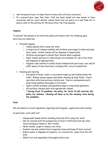

- Ask the parent/carer to keep them at home until s/he has recovered.
- If a parent/carer says that their child has been unwell but now seems to have recovered, ask for exact details, remind them that our policy is to ask them not to send a child to the setting for 48 hours after the final episode.

#### **Hygiene**

To prevent the spread of all infection adults will ensure that the following good practices are observed.

- Personal hygiene
	- o Hands washed after using the toilet.
	- o A large box of tissues available and children encouraged to blow and wipe their noses. Soiled tissues will be disposes of hygienically.
	- o Children encouraged to shield their mouths when coughing.
	- o Paper towels and electric hand dryers are available for use in the toilet and disposed of appropriately.
	- o Hygiene rules related to bodily fluids followed with particular care and all staff aware of how infections, including HIV, can be transmitted.
	- o
- Cleaning and clearing
	- o Any spills of blood, vomit or excrement wiped up and flushed down the toilet. Rubber gloves always used when cleaning up body fluids. Floors and other affected surfaces disinfected. Fabrics contaminated with body fluids washed thoroughly in hot water.
	- o Spare clothes available and polythene bags to wrap soiled garments.
	- o All surfaces cleaned daily with appropriate cleaner.

**\* During Covid 19 pandemic the policy for Covid 19 will override this policy for sickness. Cleaning will done as by the cleaning rotas during the pandemic.** 

#### **Food**

We will observe current legislation regarding food hygiene, registration and training.

In particular, each adult will:

- o Always wash hands before handling food and after using the toilet.
- o Not be involved with the preparation of food if suffering from any infectious/contagious illness or skin trouble.
- o Never smoke, cough or sneeze over food.
- o Prepare raw and cooked food in separate areas and keep all food covered.
- o Ensure waste is disposed of properly, in a covered bin , away from the children.
- o Wash fruit and vegetables thoroughly before use.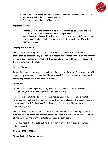

- o Tea towels and towels will be kept clean and washed between each session.
- o All utensils will be kept clean and in a drawer.
- o Cracked or chipped china will not be used.

#### **Information sources**

- o Parents will have the opportunity to discuss health issues with us and will have access to information available to the pre-school.
- o We will maintain links with health visitors and gather health information and advice from the local health authority information services and/or other health agencies.
- o

#### **Ongoing medical needs**

For chronic illnesses e.g. Asthma or children with special medical needs, we will administer, as necessary, any medication. A record will be made of the time and parents will be asked to acknowledge this with their signature. This will be in accordance with the setting's Medication Policy.

#### **Serious illness**

If a child should suddenly become seriously ill during the duration of the group, we will immediately seek medical attention. The setting will follow its **Serious Accident and Emergency Procedure in the First Aid Policy.**

#### **Riddor 95**

Riddor 95 means the Reporting of Injuries, Diseases and Dangerous Occurrences Regulations 1995, which came into force on April 1st 1996.

Reportable diseases include certain poisonings, some skin diseases, lung diseases, infections such as hepatitis, tuberculosis, anthrax, legionellosis and tetanus. If you are unsure ask a Health Professional for advice or refer to the Riddor web-site on www.riddor.gov.uk.

You must keep a record, which includes the date and method of reporting, the date, time and place of event, the personal details of those involved and a brief description of the nature of the event or disease. Use your incident book.

As well as reporting the outbreak to Riddor, notify Ofsted if you are a registered childcare provider.

#### **Ofsted: 0300 1231231**

**Riddor Incident Contact Centre**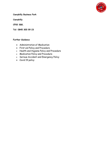

**Caerphilly Business Park**

**Caerphilly**

**CF83 3GG.** 

**Tel: 0845 300 99 23**

- Administration of Medication
- First aid Policy and Procedure
- Health and Hygiene Policy and Procedure
- Medication Policy and Procedure
- Serious Accident and Emergency Policy
- Covid 19 policy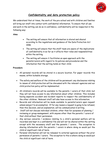

# **Confidentiality and data protection policy**

We understand that at times, the work of the pre-school and with children and families will bring our staff into contact with confidential information. To ensure that all use and work in the setting can do so in confidence, confidentiality will be respected in the following way:

## **Aims**

- The setting will ensure that all information is stored and shared according to the regulations and guidance of the Data Protection Act 1998.
- The setting will ensure that the staff team are aware of the implications of confidentiality in so far as it affects their roles and responsibilities within the setting.
- The setting will ensure it facilitates an open approach with the parents/carers with regard to its policies and procedures and the information that the setting holds on their child.

## **Procedure**

- All personal records will be stored in a secure location. For paper records this means, within lockable storage.
- The safety and welfare of the children will be paramount; any disclosures relating to issues of child protection will be discussed with the relevant agencies and our child protection policy will be implemented.
- All children's records will be available to the parents / carers of that child, but they will not have access to any information about other children. This includes having separate accident and incident reports to respect the confidentiality of the other children. Relevant staff will also have access to this information.
- Records and information will be made available to parents/carers upon request unless subject to an exemption. If for any reason a request is going to be refused, then this decision, and an explanation, will be communicated in writing.
- Staff will not discuss individual children, other than for purposes of planning / reviewing or group management, with anyone other than the parents / carers of that child without their permission.
- Any serious concerns / evidence relating to a child's personal welfare will be recorded and kept in a confidential file and will not be shared within the setting except with the necessary staff and the parents / carers. The exception to sharing information with the parents / carers is where doing so would put the child at significant risk of harm.
- Personal information will not be released to external agencies without the prior permission of parents / carers. The exception to this is where doing so would put the child at significant risk of harm.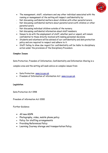

- The management, staff, volunteers and any other individual associated with the running or management of the setting will respect confidentiality by:
- Not discussing confidential matters about children with other parents/carers.
- Not discussing confidential matters about parents/carers with children or other parents/carers
- Not discussing individual children outside of the nursery.
- Not discussing confidential information about staff members.
- Issues to do with the employment of staff, whether paid or unpaid, will remain confidential to those directly involved with making personnel decisions.
- Students and volunteers will be advised of our confidentiality and data protection policy and are required to respect and adhere to it.
- Staff failing to show due regard for confidentiality will be liable to disciplinary action under the provisions of the Disciplinary Procedure

#### **Complex Issues**

Data Protection, Freedom of Information, Confidentiality and Information Sharing is a

complex area and the setting will seek advice on complex issues from:

- Data Protection [www.ico.gov.uk](http://www.ico.gov.uk/)
- Freedom of Information of information Act [www.ico.gov.uk](http://www.ico.gov.uk/)

#### **Legislation**

Data Protection Act 1998

Freedom of information Act 2000

- All new GDPR
- Photography, video, mobile phone policy
- Policy for staffing arrangements
- Providing References Policy
- Learning Journey storage and transportation Policy.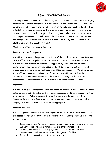

# **Equal Opportunities Policy**

Stepping Stones is committed to eliminating discrimination of all kinds and encouraging diversity amongst our workforce. We will strive to make our service accessible to all parents who wish to use it and we will ensure that no child, individual\* or family will be unlawfully discriminated against on the grounds of age, sex, sexuality, family status, means, disability, race ethnic origin, culture, religion or belief. We are committed to creating an environment in which individual differences and everyone's contributions are recognised and valued and we believe in promoting dignity and respect to all. All staff comply with the Equality Act 2010.

\*Includes staff members and volunteers.

## **Recruitment and Employment**

We will recruit and employ people on the basis of their skills, experience and knowledge as in staff recruitment policy. We aim to ensure that no applicant or employee is subject to discrimination of any kind (see appendix 3) on the grounds of having, or being perceived as having, or being associated with someone who has, a protected characteristic, as defined by the Equality Act 2010 (see appendix). We will advertise for staff and management using a mix of methods. We will always follow the procedures outlined in our Recruitment Procedure. Training, development and progression opportunities will also be available to all staff (where possible).

#### **Information**

We will aim to make information on our pre-school as accessible as possible to all users, potential users and interested parties, seeking appropriate additional support to do so where necessary. Where appropriate, we will provide translations into relevant languages, large print or Braille and will use jargon free, clear and understandable language. We will also use a translator where appropriate.

# **Inclusive Practice**

We aim to provide an environment, play opportunities and activities that are inclusive and accessible for all children and for all children to feel welcomed and valued. We will do this by:

- Recognising children's individual needs through observation, reflective practice and working in partnership with parents and other professionals.
- Providing positive resources, displays and activities that reflect different cultures, races, abilities, sexual orientation, gender, families etc
- Challenging inappropriate attitudes and practices.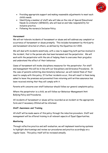

- Providing appropriate support and making reasonable adjustments to meet each child's needs.
- Identifying a member of staff who will take on the role of Special Educational Needs Co-ordinator (SENDCO), who will lead on and take responsibility for inclusive practice.
- Following the nursery's Inclusion Policy.

#### **Harassment**

We will not tolerate incidents of harassment or abuse and will address any complaint or occurrence of harassment or abuse promptly. This includes harassment by third party and harassment directed at others, as defined by the Equalities Act 2010.

We will deal with incidents sensitively, with a view to supporting both parties involved in the incident, that is the person who has been harassed and the perpetrator. We will work with the perpetrator with the aim of helping them to overcome their prejudice and understand the effect of their behaviour.

Cases of harassment will invoke disciplinary measures for the perpetrator. For staff and management this will be in line with our Disciplinary and Grievance Procedures. In the case of parents exhibiting discriminatory behaviour, we will remind them of their need to comply with this policy. If further incidents occur, this will result in them being asked to leave the premises and prevented from returning until written assurance has been received stating that they will comply with it.

Parents with concerns over staff behaviour should follow our general complaints policy.

Where the perpetrator is a child, we will follow our Behaviour Management/Anti Bullying Policy and Procedures.

All incidents of harassment or abuse will be recorded as an incident on the appropriate form and if necessary Ofsted will be informed.

## **Staff Awareness and Training**

All staff will be made aware of this policy through the induction procedure. Staff and management will be offered training in all relevant aspects of Equal Opportunities.

## **Monitoring**

Through reflective practice and self-evaluation, we will implement monitoring systems to highlight shortcomings and review our procedures and practice accordingly on a regular basis. This policy itself will be reviewed annually.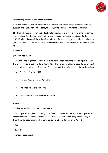

## **Celebrating festivals and other cultures**

As a pre-school we aim to introduce our children to a broad range of faiths and also support the child's family heritage, these may include Eid, Christmas and Diwali.

Children will hear, see, taste and feel materials, foods and music from other countries and religions. Our team of staff will involve children in stories, dancing and other activities based around these festivals. Our aim is to encourage our children to become global citizens and therefore be actively aware of the diverse world that they are part of.

#### **Appendix 1**

## **Equality Act 2010**

The Act brings together for the first time all the legal requirements on equality that the private, public and voluntary sectors need to follow. It affects equality law at work and in delivering all sorts of services. It replaces all the existing equality law including:

- The Equal Pay Act 1970
- The Sex Discrimination Act 1975
- The Race Relations Act 1976
- The Disability Discrimination Act 1995

## **Appendix 2**

The Protected Characteristics: key points

The Act protects individuals and groups from discrimination based on their "protected characteristics". There are nine protected characteristics and they vary slightly in their bearing according to whether a person is using a service or at \*work:

- Age
- Disability
- Gender Reassignment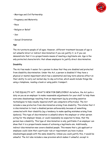

- Marriage and Civil Partnership
- Pregnancy and Maternity
- Race
- Religion or Belief
- Sex
- Sexual Orientation

## **Age**

The Act protects people of all ages. However, different treatment because of age is not unlawful direct or indirect discrimination if you can justify it, ie if you can demonstrate that it is a proportionate means of meeting a legitimate aim. Age is the only protected characteristic that allows employers to justify direct discrimination.

## **Disability**

The Act has made it easier for a person to show that they are disabled and protected from disability discrimination. Under the Act, a person is disabled if they have a physical or mental impairment which has a substantial and long term adverse effect on their ability to carry out normal day-to-day activities, which would include things like using a telephone, reading a book or using public transport.

6 THE EQUALITY ACT – WHAT'S NEW FOR EMPLOYERS? As before, the Act puts a duty on you as an employer to make reasonable adjustments for your staff to help them overcome disadvantage resulting from an impairment (eg by providing assistive technologies to help visually impaired staff use computers effectively). The Act includes a new protection from discrimination arising from disability. This states that it is discrimination to treat a disabled person unfavourably because of something connected with their disability (eg a tendency to make spelling mistakes arising from dyslexia). This type of discrimination is unlawful where the employer or other person acting for the employer knows, or could reasonably be expected to know, that the person has a disability. This type of discrimination is only justifiable if an employer can show that it is a proportionate means of achieving a legitimate aim. Additionally, indirect discrimination now covers disabled people. This means that a job applicant or employee could claim that a particular rule or requirement you have in place disadvantages people with the same disability. Unless you could justify this, it would be unlawful. The Act also includes a new provision which makes it unlawful, except in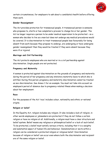

certain circumstances, for employers to ask about a candidate's health before offering them work.

#### **Gender Reassignment**

The Act provides protection for transsexual people. A transsexual person is someone who proposes to, starts or has completed a process to change his or her gender. The Act no longer requires a person to be under medical supervision to be protected – so a woman who decides to live as a man but does not undergo any medical procedures would be covered. It is discrimination to treat transsexual people less favourably for being absent from work because they propose to undergo, are undergoing or have undergone gender reassignment than they would be treated if they were absent because they were ill or injured.

#### **Marriage and Civil Partnership**

The Act protects employees who are married or in a civil partnership against discrimination. Single people are not protected.

#### **Pregnancy and Maternity**

A woman is protected against discrimination on the grounds of pregnancy and maternity during the period of her pregnancy and any statutory maternity leave to which she is entitled. During this period, pregnancy and maternity discrimination cannot be treated as sex discrimination. See Annex 1 for an example. You must not take into account an employee's period of absence due to pregnancy-related illness when making a decision about her employment.

#### **Race**

For the purposes of the Act 'race' includes colour, nationality and ethnic or national origins.

## **Religion or belief**

In the Equality Act, religion includes any religion. It also includes a lack of religion, in other words employees or jobseekers are protected if they do not follow a certain religion or have no religion at all. Additionally, a religion must have a clear structure and belief system. Belief means any religious or philosophical belief or a lack of such belief. To be protected, a belief must satisfy various criteria, including that it is a weighty and substantial aspect of human life and behaviour. Denominations or sects within a religion can be considered a protected religion or religious belief. Discrimination because of religion or belief can occur even where both the discriminator and recipient are of the same religion or belief.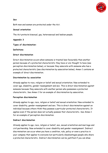

#### **Sex**

Both men and women are protected under the Act.

#### **Sexual orientation**

The Act protects bisexual, gay, heterosexual and lesbian people.

#### **Appendix 3**

**Types of discrimination:**

#### **Definitions**

#### **Direct discrimination**

Direct discrimination occurs when someone is treated less favourably than another person because of a protected characteristic they have or are thought to have (see perception discrimination below), or because they associate with someone who has a protected characteristic (see discrimination by association below). Annex 1 contains an example of direct discrimination.

#### **Discrimination by association**

Already applies to race, religion or belief and sexual orientation. Now extended to cover age, disability, gender reassignment and sex. This is direct discrimination against someone because they associate with another person who possesses a protected characteristic. See Annex 1 for an example of discrimination by association.

#### **Perception discrimination**

Already applies to age, race, religion or belief and sexual orientation. Now extended to cover disability, gender reassignment and sex. This is direct discrimination against an individual because others think they possess a particular protected characteristic. It applies even if the person does not actually possess that characteristic. See Annex 1 for an example of perception discrimination.

## **Indirect discrimination**

Already applies to age, race, religion or belief, sex, sexual orientation and marriage and civil partnership. Now extended to cover disability and gender reassignment. Indirect discrimination can occur when you have a condition, rule, policy or even a practice in your company that applies to everyone but particularly disadvantages people who share a protected characteristic. Indirect discrimination can be justified if you can show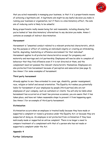

that you acted reasonably in managing your business, ie that it is 'a proportionate means of achieving a legitimate aim'. A legitimate aim might be any lawful decision you make in running your business or organisation, but if there is a discriminatory effect, the sole aim of reducing costs is likely to be unlawful.

Being proportionate really means being fair and reasonable, including showing that you've looked at 'less discriminatory' alternatives to any decision you make. Annex 1 contains an example of indirect discrimination.

#### **Harassment**

Harassment is "unwanted conduct related to a relevant protected characteristic, which has the purpose or effect of violating an individual's dignity or creating an intimidating, hostile, degrading, humiliating or offensive environment for that individual". Harassment applies to all protected characteristics except for pregnancy and maternity and marriage and civil partnership. Employees will now be able to complain of behaviour that they find offensive even if it is not directed at them, and the complainant need not possess the relevant characteristic themselves. Employees are also protected from harassment because of perception and association (see page 3). See Annex 1 for some examples of harassment.

#### **Third party harassment**

Already applies to sex. Now extended to cover age, disability, gender reassignment, race, religion or belief and sexual orientation. The Equality Act makes you potentially liable for harassment of your employees by people (third parties) who are not employees of your company, such as customers or clients. You will only be liable when harassment has occurred on at least two previous occasions, you are aware that it has taken place, and have not taken reasonable steps to prevent it from happening again. See Annex 1 for an example of third party harassment.

#### **Victimisation**

Victimisation occurs when an employee is treated badly because they have made or supported a complaint or raised a grievance under the Equality Act; or because they are suspected of doing so. An employee is not protected from victimisation if they have maliciously made or supported an untrue complaint. There is no longer a need to compare treatment of a complainant with that of a person who has not made or supported a complaint under the Act.

#### **Appendix 4**

**Further Information**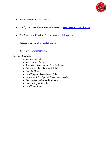

- ACAS website [www.acas.org.uk](http://www.acas.org.uk/)
- The Equalities and Human Rights Commission www.equalityhumanrights.com
- The Government Equalities Office [www.equalities.gov.uk](http://www.equalities.gov.uk/)
- Business Link [www.businesslink.gov.uk](http://www.businesslink.gov.uk/)
- Direct Gov www.direct.gov.uk

- Admissions Policy
- Attendance Policy
- Behaviour Management (and Bullying)
- Inclusion Policy- Disabled Children
- Special Needs
- Staffing and Recruitment Policy
- Statement for Special Educational needs
- Working with disabled children
- Supporting staff policy
- Staff Handbook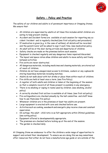

# **Safety - Policy and Practice**

The safety of our children and adults is of paramount importance at Stepping Stones. We ensure that:

- All children are supervised by adults at all times this includes whilst children are eating to help prevent choking.
- Accident and Incident forms are available at each session for reporting any accident /incident and is regularly checked.(see first aid policy and procedure)
- If medication is given (e.g. in the case of asthma), all details will be recorded and the parent/carer will be asked to sign it each time. (see medication policy.
- An adult will be at the door during arrivals and departures of children.
- Safety checks are made on the premises before each session.
- Equipment is checked regularly and any dangerous items repaired/discarded.
- The layout and space ratios allow children and adults to move safety and freely between activities.
- Fire exits are never obstructed.
- All dangerous materials, including medicines and cleaning materials, are stored out of reach of children.
- Children do not have unsupervised access to kitchens, cookers or any cupboards storing hazardous materials including matches.
- Adults do not walk about with hot drinks or place them within reach of children.
- Fire drills are held at least once a term. (see Fire Policy)
- A register of both adults and children is taken at the beginning of the session so that a complete record of all those present is available in any emergency.
- There is no smoking or vaping in rooms used by children. (see smoking, alcohol policy)
- A correctly stocked first aid box is available at all times. (see first aid policy)
- Fire extinguishers are checked annually by the hall committee and staff know how to use them.(see fire policy)
- Whenever children are in the premises at least two adults are present.
- Large equipment is erected with care and checked before use.
- Activities such as cooking, woodwork and energetic play receive close and constant supervision.
- On outings, the adult : child ratio is as felt appropriate within Ofsted guidelines. (see outing policy)
- Equipment offered is developmentally appropriate.
- The premises are checked before locking up at the end of the session.
- The garden is checked daily.

At Stepping Stone we endeavour to offer the children a wide range of opportunities to support and extend their development. To ensure we are doing this we may sometimes offer resources that either do not have a manufactures age guide or are outside of the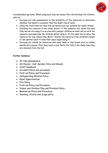

recommended age band. When using such toys we reduce the risk and keep the children safe by:

- Carrying out risk assessments on the suitability of the resources to determine whether the benefit is greater than the slight risk of harm.
- Using the train room for toys that we believe are not suitable for under threes.
- Checking the resource in the choke tester- if the resource fits inside the tube fully and we are using it in an area with younger children an adult will sit with the resource and supervise the children whilst using it. If the adult has to leave the resource for any reason they MUST remove the resource from children's height or ask another adult to take their place supervising it.
- Carrying out checks on resources that wear down or may break such as chalks, pencils and crayons. Once they reach a size that's fits fully in the choke tube they are removed from the hall.

- All risk assessments
- All Checks Hall, Garden, Patio and Woods
- Staff Handbook
- Accident Policy and procedure
- First aid Policy and Procedure
- Safeguarding Children Policy
- Equal Opportunities
- Fire Policy
- First aid Policy and Procedure
- Indoor and Outdoor Play and Provision Policy
- Medication Policy and Procedure
- Smoking, Alcohol and drugs policy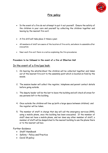

# **Fire policy**

- In the event of a fire do not attempt to put it out yourself. Ensure the safety of the children in your care and yourself by collecting the children together and leaving by the nearest fire exit.
- A fire drill will take place 3 times a year.
- All members of staff are aware of the location of fire exits, and where to assemble after evacuation.
- Near each fire exit there is a notice explaining the fire procedures.

## **Procedure to be followed in the event of a fire at Elberton Hall**

## In the event of a fire/gas leak:

- 1. On hearing the whistle/shout the children will be collected together and taken out of the nearest fire exit to the assembly point which is located on field by the woods.
- 2. The session leader will collect the register, telephone and parent contact details before going outside.
- 3. The deputy leader will be the last to leave the building and will check all areas for any persons left in the building.
- 4. Once outside the children will line up (with a large space between children) and the register will be taken.
- 5. The member of staff in charge that day will call the emergency services (999), using a mobile phone, once the building has been evacuated. If the member of staff does not have a mobile phone, and nor does any other member of staff, a member of staff will be despatched to the nearest building to use the phone there or to the nearest call box.

- Staff Handbook
- Safety Policy and Practice
- Covid 19 policy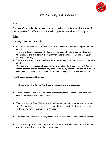

# **First Aid Policy and Procedure**

#### **Aim**

**The aim of this policy is to ensure the good health and safety of all those on site, and to provide for effective action should anyone become ill or suffer injury.**

## **Policy**

Stepping Stones will ensure that:

- Only First Aid qualified staff are allowed to administer First Aid and give First Aid advice.
- There is at least one person who has a current paediatric first aid certificate on the premises and available at all times when children are present, and accompany children on outings.
- There is a first aid box accessible at all times with appropriate content for use with children.
- We keep a written record of accidents or injuries and first aid treatment. We will inform parents and/or carers of any accident or injury sustained by the child on the same day, or as soon as reasonably practicable, of any first aid treatment given.

#### **Practitioners responsibilities are:**

- To be aware of the setting's first aid arrangements and procedures.
- To take charge in the situation where personal injury or illness has occurred and where further medical help is needed.
- To ensure that a First Aid box is provided and stocked with appropriate items and to refer any issues to a director/manager whose responsibility it is to see that all first aid kits remain appropriately stocked.
- To always take the first aid box, travel first aid pack and accident book on all trips.
- In cases of injury, the Practitioner's responsibility ends when the patient is handed over to the medical care or the parent/carer.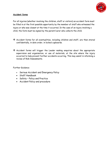

## **Accident forms**

For all injuries (whether involving the children, staff or visitors) an accident form must be filled in at the first possible opportunity by the member of staff who witnessed the injury or who was closest at the time it occurred. In the case of an injury involving a child, the form must be signed by the parent/carer who collects the child.

- ❖ Accident forms for all eventualities, including children and staff, are then stored confidentially, in date order, in locked cupboards.
- ❖ Accident forms will trigger the Leader making enquiries about the appropriate supervision and organisation, or use of materials, at the site where the injury occurred to help prevent further accidents occurring. This may assist in informing a review of Risk Assessments.

- Serious Accident and Emergency Policy
- Staff Handbook
- Safety Policy and Practice
- Accident Policy and procedure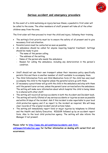

# **Serious accident and emergency procedure**

In the event of a child sustaining an injury/serious illness, a paediatric first aider will be called to the scene. The other members of staff present will take all of the other children away from the area.

The first aider will then proceed to treat the child and injury, following their training.

- The setting's first priority must be to ensure the safety of all present and to give necessary first aid attention.
- Parents/carers must be contacted as soon as possible.
- An ambulance should be called for anyone requiring hospital treatment. Settings should be ready to give:
	- The name of the person calling.
	- The address of the setting.
	- Name of the person who needs the ambulance
	- Reason for calling the ambulance, including any deterioration in the person's condition.
- Staff should not use their own transport unless their insurance policy specifically permits this and there is another member of staff available to accompany them.
- The Child Information Form and Child Medication form (if the child has one) must accompany the child to the hospital unless the parents/carers go with them.
- If necessary a practitioner will go with the child in the ambulance and stay with them until the parent/carer arrives, unless the parent/carer arrives before the ambulance. The setting will make sure information about which hospital the child is being taken to is shared with other staff.
- The setting will record all serious accidents in both the Accident and Incident book.
- The setting will notify Ofsted of any serious accidents or injuries as soon as possible and within 14 days of the incident. Ask if this incident is also reportable to your local child protection agency and if so report to the incident as required. We will keep clear records of the original incident and all actions taken.
- The setting will immediately report fatal or major injuries by telephone to Ofsted and the Health and Safety Executive; RIDDOR followed up by an accident report form. Also to the local child protection agency. The setting will also inform the Manager if not present.

**Please refer to [http://www.nhs.uk/conditions/accidents-and-first-](http://www.nhs.uk/conditions/accidents-and-first-aid/pages/introduction.aspx)**

**[aid/pages/introduction.aspx](http://www.nhs.uk/conditions/accidents-and-first-aid/pages/introduction.aspx) for further information on dealing with varied first aid occurrences.**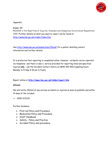

Appendix:

Riddor 95 RIDDOR is the Reporting of Injuries, Diseases and Dangerous Occurrences Regulations 1995. Further details on what you need to report can be found at <http://www.hse.gov.uk/riddor/index.htm>

See<http://www.hse.gov.uk/pubns/misc769.pdf> for a poster detailing contact information and further details.

It is preferred that reporting is completed online. However, incidents can be reported via telephone and there is also a service provided for reporting fatal and specified injuries **only** - call the Incident Contact Centre on 0845 300 9923 (opening hours Monday to Friday 8.30 am to 5 pm).

Report online at **<http://www.hse.gov.uk/riddor/report.htm>**

## **Ofsted:**

We will notify Ofsted of any serious accidents or injuries as soon as possible and within 14 days of the incident.

• 0300 1231231

- First aid Policy and Procedure
- Medication Policy and Procedure
- Staff Handbook
- Safety Policy and Practice
- Accident Policy and procedure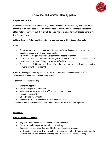

# **Grievance and whistle blowing policy**

#### **Purpose and Status**

A grievance procedure is simply a way for all employees to discuss any problems, or air their views on any dissatisfaction that relates to their work. An informal discussion can often resolve matters, but if you wish to raise the grievance formally please adhere to the following procedure.

## **Whistle Blowing Policy and Procedure in conjuncture with safeguarding policy**

#### **Aims**

- To encourage staff and volunteers to feel confident in reporting serious concerns about any aspects of the setting's work.
- To provide ways for staff and volunteers to report concerns.
- To ensure that staff and volunteers get a response to their concerns and that they know what to do if they are not satisfied with this.
- To reassure staff and volunteers that they will not be penalised for coming forward with their concerns.

Whistle blowing is reporting a serious concern about another member of staff or volunteer to a more senior member of staff.

A serious concern might be;

- a criminal offence
- abuse or neglect of children
- bullying or victimisation of staff, volunteers or children
- financial malpractice
- a health and safety risk
- a failure to deliver appropriate standards of care

There may be other serious concerns, which do not fit into these categories.

#### **Procedure**

#### **How to Report a Concern**

- Any staff member or volunteer can report a concern.
- Concerns can be reported verbally or in writing.
- In most circumstances this would be to the Pre-school Manager.
- If the concern involves the Pre-School Manager or it is felt they are unlikely to take any action, the member of staff should contact Gill Powell (owner).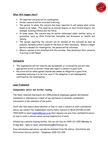

#### **What Will Happen Next?**

- All reported concerns will be investigated.
- Verbal concerns will be recorded in writing.
- The person to whom the concern has been reported to will assess what action needs to be taken. This could be an internal enquiry or more formal enquiry, for example involving Ofsted and the Police.
- In some cases, the concern may be better addressed under another policy or procedure, such as Child Protection, Discipline and Grievance or Health and Safety.
- The person reporting the concern will be advised of the outcome as soon as possible, normally within 2 weeks of the date of their disclosure. Where a longer period is needed for investigation, the person will be informed.
- Where a person is not satisfied with the outcome, they should put their concerns in writing to Gill Powell.

## **Safeguards**

- The organisation will not tolerate any harassment or victimisation and will take appropriate action to protect those who report a concern in good faith.
- No action will be taken against anyone who makes an allegation in good faith, reasonably believing it to be true, even if the allegation is not subsequently confirmed by the investigation.

## **Legal Framework**

## **Independent advice and further reading**

*The Public Interest Disclosure Act 1998 protects employees against detrimental treatment or dismissal as a result of any disclosure of normally confidential information in the interests of the public.* 

Staff who feel unsure about whether or how to raise a concern or want confidential advice can contact the independent charity Public Concern at Work (PCAW) on 020 7404 6609 or email [helpline@pcaw.co.uk](mailto:helpline@pcaw.co.uk) their lawyers can give free confidential advice on how to raise a concern about serious malpractice at work.

Ofsted has a whistle blowing hotline. You can call this on: 0300 123 3155 (Monday to Friday 8am – 6pm) or email :whistleblowing@ofsted.gov.uk.

Free information and advice can also be obtained from the Advice, Conciliation and Arbitration Service (ACAS) – Telephone: 0300 123 1100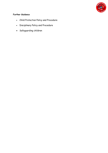

- Child Protection Policy and Procedure
- Disciplinary Policy and Procedure
- Safeguarding children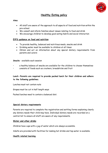

# **Healthy Eating policy**

#### **Aims**

- All staff are aware of the approach to all aspects of food and nutrition within the pre-school.
- We consult and inform families about issues relating to food and drink
- We encourage children to develop good eating habits and social interaction

#### **EYFS guidance on food and nutrition**

- To provide healthy, balanced and nutritious meals, snacks and drink
- Drinking water must be available to children at all times
- Obtain and act on information about any special dietary requirements from parents and carers

#### **Snacks** - available each session

- a healthy balance of snacks are available for the children to choose themselves
- consists of foods such as crackers, breadsticks and fruit

## **Lunch –Parents are required to provide packed lunch for their children and adhere to the following guidelines**.

Lunches must not contain nuts

Grapes must be cut in half length ways

Packed lunches need to contain a balanced diet.

#### **Special dietary requirements**

Parents are required to complete the registration and settling forms explaining clearly any dietary needs their child may have. Individual dietary needs are recorded on a central list to ensure all staff are aware of any requirements.

#### **Water and other drinks**

Children have cups with a jug of water which are always accessible.

Adults are provided with facilities for making hot drinks and tap water is available.

#### **Health related learning**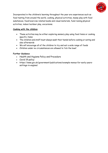

Incorporated in the children's learning throughout the year are experiences such as food tasting from around the world, cooking, physical activities, messy play with food substances, food/exercise related books and visual materials, fund raising physical activities, indoor/outdoor play, excursions.

## **Cooking with the children**

- These activities may be either exploring sensory play using food items or cooking specific items
- The children and staff must always wash their hands before cooking or eating and also afterwards
- We will encourage all of the children to try and eat a wide range of foods
- Children under no circumstances are allowed to 'lick the bowl'.

- Health and Hygiene Policy and Procedure
- Covid 19 policy
- https://www.gov.uk/government/publications/example-menus-for-early-yearssettings-in-england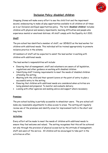

# **Inclusion Policy-disabled children**

Stepping Stones will make every effort to see the child first and the impairment second, endeavouring to make all play opportunities available to all children at all times as in our Inclusion and Equal opportunities policy. The term '**disabled children'** includes children with physical and sensory impairments, learning difficulties and people who experience mental or emotional distress. All staff comply with the Equality Act 2010.

## **Staff**

The pre-school has identified a member of staff, our SENDCO as the lead worker for children with additional needs. This individual will be trained appropriately to promote inclusive practice in the scheme.

All members of staff will be expected to assist the lead worker in working with children with additional needs.

The lead worker's responsibilities will include:

- Ensuring that all management, staff and volunteers are aware of all legislation, regulations and other guidance on working with disabled children
- Identifying staff training requirements to meet the needs of disabled children attending the setting
- Meeting with the child and their parent/carers at the point of entry to plan a successful entry to the setting
- Ensuring that children with additional needs are considered when activities are being planned and prepared. To monitor and evaluate delivery.
- Liaising with other agencies and seeking advice and support where necessary

## **Premises**

The pre-school building is partially accessible to wheelchair users. The pre-school will make any reasonable adjustments to allow access to areas. The setting will regularly review use of the premises and identify areas for improvement both in the short and long term.

## **Activities**

Every effort will be made to meet the needs of children with additional needs to ensure they feel welcome and valued. The setting recognises that this will be achieved not only through the provision of physical access but by the attitude of management, staff and users of the service. All children will be encouraged to take part in the activities on offer.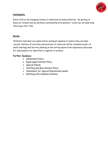

## **Individuality**

Every child at the Stepping Stones is celebrated as being different. By getting to know our children and by working in partnership with parents / carers we can help them fully enjoy their time.

## **Review**

Children's individual care plans will be reviewed regularly to ensure they are kept current. Delivery of activities and provision of resources will be reviewed as part of staff meetings and fed into planning so the setting learns from experience and areas for improvement are identified in regards to inclusion.

- Admissions Policy
- Equal opportunities Policy
- Special Needs
- Staffing and Recruitment Policy
- Statement for Special Educational needs
- Working with disabled children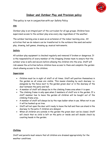

# **Indoor and Outdoor Play and Provision policy**

This policy is run in conjunction with our Safety Policy

## **Aim**

Outdoor play is an integral part of the curriculum for all age groups. Children have supervised access to the outdoor play area every day regardless of the weather.

The outdoor learning area is seen as an extension of the indoor learning area.. All activities that we do indoors can be transferred to the outdoors like sand and water play, drawing, ball games, dressing up, musical instruments.

## **Safety**

All outdoor play equipment is checked regularly and removed if broken or dangerous. It is the responsibility of every member of the Stepping Stones team to ensure that the outdoor area is safe and secure before allowing the children into the area. Staff will risk assess the activities before children have access to them and complete the garden check allowing access to the children.

## **Supervision**

- Children must be in sight of staff at all times. Staff will position themselves in the garden so all areas are visible. This means standing by each doorway i.e. alongside by the fence next to the garden green door or in the doorway of the door between the patio and hall.
- A member of staff will always be in the climbing frame area when it is open.
- The climbing frame is only open when 2 members of staff are in the garden. If a staff member has to leave the garden all children will be bought out of the climbing frame area.
- A member of staff will always be by the rope ladder when in use. When not in use it will be hooked up on tree.
- Staff will not open the door until ready to leave the hall and then can stand in the doorway to the patio if children are delayed.
- When all children are outside in the garden the green door can be closed. Staff will check that no child is left on the patio or inside and will double check by counting heads in the garden.

## **Clothing**

Staff and parents must ensure that all children are dressed appropriately for the weather conditions.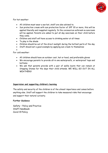

For hot weather:

- All children must wear a sun hat, staff are also advised to.
- Sun protection cream with sun protection factor of SPF 30 or more, this will be applied liberally and reapplied regularly. In the coronavirus outbreak no suncream will be applied. Parents are asked to put all day suncream on their child before they come.
- Children and staff will have access to drinking water at all times
- To play in the shade
- Children should be out of the direct sunlight during the hottest parts of the day
- Staff should set a good example by applying sun cream to themselves

•

For cold weather:

- All children should have an outdoor coat, hat or hood, and preferable gloves
- We encourage parents to provide all-in one waterproofs, or waterproof tops and bottoms.
- We ask that parents provide with a pair of wellie boots that can remain at Stepping Stones for the days their child attends. WE WILL GO OUT IN ALL **WFATHFRS!**

## **Supervision and supporting children's learning**

The safety and security of the children is of the utmost importance and comes before anything else. Staff will support the children to take measured risks that encourage and support their natural curiosity.

## **Further Guidance**

Safety – Policy and Practice Staff Handbook Covid 19 Policy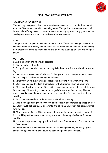

# **LONE WORKING POLICY**

## **STATEMENT OF INTENT**

This setting recognises that there may be an increased risk to the health and safety of its employees whilst working alone. This policy sets out our approach in both identifying these risks and adequately managing them. Any questions regarding its operation should be addressed to the Owner.

## **AIM**

This policy and its procedures aim to protect staff who are engaged in work (either outdoors or indoors) where there are no other people who could reasonably be expected to come to their immediate aid in the event of an incident or emergency.

## **METHODS**

1. Avoid lone working wherever possible

2. Sign in and off the site

3. Carry either a mobile phone or setting telephone at all times when lone working

4. Let someone know family/relatives/colleague you are coming into work, how long you expect to be and when you are leaving

- 5. Comply with fire evacuation procedures and attend fire assembly points
- 6. Staff are required to lock themselves in the buildings when lone working

7. Staff must not arrange meetings with parents or members of the public when lone working. All meetings must be arranged during school occupancy times or when there is more than one member of staff on site for the duration of the meeting

8. Staff are required not to handle cash when lone working

9. Late meetings must finish promptly and not leave one member of staff on site 10. Staff must not approach, or let into the building, unauthorised persons when lone working

11. When lone working setting up, only light duties to be performed. e.g check lists, putting out paperwork. All heavy work must be completed when 2 people are there.

12. Lone working for setting up will be ideally for 15 minutes and for a maximum of 30 minutes.

13. When there is a lone worker due in the following morning, all heavy lifting and fetching from the barn should be done the previous afternoon.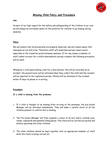

# **Missing Child Policy and Procedure**

#### **Aim**

As part of our high regard for the safety and safeguarding of the children in our care we will always be extremely aware of the potential for children to go missing during sessions.

## **Policy**

We will ensure that all precautions are properly observed, and will remain aware that emergencies can still arise. Therefore staff will undertake periodic head counts, especially at the transition points between sessions. If for any reason a member of staff cannot account for a child's whereabouts during a session the following procedure will be used:

Whenever a child goes missing, even for a few minutes, this will be recorded as an incident, the parent/carer will be informed when they collect the child and the incident will be reported to the registered person. Ofsted will be informed of the incident within 14 days via phone or in writing.

#### **Procedure**

#### **If a child is missing from the premises**

- 1. If a child is thought to be missing after arriving at the premises, the pre-school Manager will be informed immediately. They will make a careful check of all the children present to confirm who is missing.
- 2. The Pre-school Manager will then organise a check of all exit doors, outside area, rooms, cupboards and possible hiding places. This check will be carried out quickly and without panicking the other children.
- 3. The other children should be kept together with an appropriate member of staff while the check is being carried out.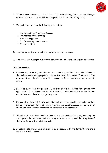

- 4. If the search is unsuccessful and the child is still missing, the pre-school Manager must contact the police on 999 and the parent/carer of the missing child.
- 5. The police will be given the following information:
	- The name of the Pre-school Manager
	- The address of the setting
	- What has happened
	- Child's name, age and address
	- Time of incident
- 6. The search for the child will continue after calling the police.
- 7. The Pre-school Manager involved will complete an Incident Form as fully as possible.

#### **Off the premises**

- 1. For each type of outing, providers must consider any possible risks to the children or themselves, consider appropriate child ratios, suitable transport/routes etc. The assessment must be discussed with a manager before embarking on each specific outing.
- 2. For trips away from the pre-school, children should be divided into groups with appropriate and manageable ratios with each staff member/parent helper. We will decide in advance how to arrange the groups.
- 3. Each adult will have details of which children they are responsible for, including their names. Trip consent forms and contact details for parents/carers will be taken on the trip so that parents/carers can be contacted in an emergency.
- 4. We will make sure that children know who is responsible for them, including the staff/parent helper's name and, that they know not to stray and that they know if they want to go to the toilet they ask.
- 5. If appropriate, we will give children labels or badges with the setting's name and a contact number on them.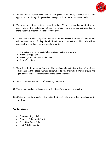

- 6. We will take a regular headcount of the group. If on taking a headcount a child appears to be missing, the pre-school Manager will be contacted immediately.
- 7. The group should stay still and keep together. If there is another adult with the group, one of them will should retrace their steps (to a pre-agreed distance, for no more than five minutes), too look for the child.
- 8. If the child is still missing after 5 minutes, we will inform the staff of the site and ask for their help in finding the child and contact the police on 999. We will be prepared to give them the following information:
	- The Senior staffs name and phone number and where we are.
	- What has happened.
	- Name, age and address of the child.
	- Time of incident.
- 9. We will contact the parent/carer of the missing child and inform them of what has happened and the steps that are being taken to find their child. We will ensure the pre-school Manager knows what actions have been taken.
- 10. We will continue the search after calling the police.
- 11. The worker involved will complete an Incident Form as fully as possible.
- 12. Ofsted will be informed of the incident within 14 days by either telephone or in writing.

- Safeguarding children
- Safety Policy and Practice
- Off site/ Trips Policy
- Lost Child in woods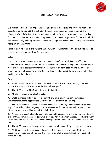

# **Off Site/Trips Policy**

We recognise the value of trips in broadening children's horizons and providing them with opportunities to express themselves in different environments. Trips are often the highlight of a child's time at pre-school events to look forward to for weeks and providing fond memories for years to come. They extend the realm of experience for both the child and carers. They can help to strengthen relationships and provide enhanced opportunities to feel part of the setting.

Trips do require some extra thought and a number of measures need to be put into place to ensure the trip is safe and fun for everyone:

## **Staff**

Staff are expected to wear appropriate pre-school uniform at all times. Staff must understand that they represent the pre-school whilst they are amongst the community and must behave in an appropriate manner. Staff may not be permitted to smoke/ or use an electronic form of cigarette or use their personal mobile phones during a trip or visit whilst working with the children.

## **Safety**

**1.** A risk assessment of each type of trip will be undertaken before leaving. This will include the nature of the venue, activities and transport).

**2.** The staff ratio will be 1 adult to every 2/3 children.

**3.** All staff members have DBS checks.

**4.** Staff members will not be left alone with any children, if this can be avoided. Volunteers/students/apprentices will never be left alone whilst on a trip.

**5.** The staff member will take an accurate register of the day's children and staff on all trips. This will include emergency contact information for parents as well as medical and other relevant information for individual children.

**6.** At least one qualified paediatric first aider will be present and the setting must take it's own First Aid Kit and Accident forms on all trips. Any medication needed, eg. inhalers, must be labelled and taken. The staff should have specific guidelines on their administration and use.

**7.** The staff member will carry the pre-schools mobile phone, fully charged, at all times.

**8.** Staff may need to take spare children's clothes, towels or other specific items – depending on the nature of the trip. Staff will bring plastic bags, tissues, wet wipes and water on trips.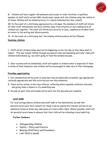

**9.** Children will have regular refreshments and access to toilet facilities. A qualified member of staff (with current DBS check) must remain with the children using the toilets at all times. Children will be allowed privacy in a cubicle (unlocked but door closed).

**10.** In the event of a child being approached by a stranger the members of staff will inform all other staff immediately and move children away from situation at once making sure all children are together. The staff will inform site security at once, complete an incident form on return to the setting and inform parents.

**11.** In the event of a child being lost, the missing child procedure will be followed.

## **Involving children**

1. Staff will let children know what will be happening on the trip day so they know what to expect. This may include talking through any special rules and assessing particular risks with children beforehand, eg. 'we aren't going to feed the animals because…'

2. Clear routines will be established, staff will explain to children what is expected of them in terms of their behaviour and children will be encouraged to take care of their belongings.

## **Providing opportunities**

**1.** Full consideration will be given to ensuring trips are physically accessible, age appropriate, culturally appropriate and that activities are non-discriminatory.

- **2.** There will be variety in the trips offered, reflecting where possible children's interests and giving them a chance to try something new.
- **3.** Periods of quiet time and breaks will be built into the day wherever possible.

## **Local walks**

For local outings (where children and staff walk to the destination), we ask that parents/carers give their consent for these trips by signing the relevant section on our admission forms as these may take place on a more adhoc basis. Where possible, staff will let parents/carers know in advance that their child will be attending a local walk/trip.

- Safeguarding children
- Safety Policy and Practice
- Missing Child Policy and Procedure
- Lost Child in woods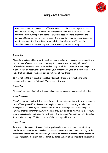

# **Complaints Procedure**

We aim to provide a high quality, efficient and accessible service to parents/carers and children. At regular intervals the management and staff meet to discuss and review the daily running of the setting, as well as possible improvements to the services offered by the setting. However, from time to time a complaint may arise about some aspect of the setting, or an individual member of staff. Usually it should be possible to resolve any problems informally, as soon as they occur.

## **Stage One**

Misunderstandings often arise through a simple breakdown in communication, and if we do not know of concerns we can do nothing to resolve them. A straightforward informal discussion between those involved may be all that is needed to set things right. We would recommend first voicing your concern with your child's key worker. We hope that any issues of concern can be resolved at this stage.

If it is not possible to resolve the issue informally, there is a formal complaints procedure that must be followed. This is laid out below.

## **Stage Two**

To report your complaint with the pre-school session manager, please contact either:

## **Anna Thompson**

The Manager may deal with the complaint directly or call a meeting with other members of staff and yourself, to discuss the complaint in detail. If a meeting is called the management will investigate the complaint within 10 working days. If the complaint involves another parent/child/staff member they may be asked to attend a meeting, to answer appropriate questions. Any witness to the complaint/incident may also be called to attend a meeting. Written records of the meetings will be made.

## **Stage Three**

If informal discussions of a complaint or problem have not produced a satisfactory resolution to the situation, you should put your complaint in detail and in writing to the registered person **Mrs Gillian Powell (director) or another director Rianna Kilford or Anna Thompson.** Relevant names, dates, evidence and any other important information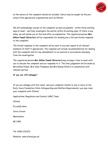

on the nature of the complaint should be included. Advice may be sought by the preschool from appropriate organisations such as Ofsted.

We will acknowledge receipt of the complaint as soon as possible – within three working days at least – and fully investigate the matter within 10 working days. If there is any delay, we will advise you of this and offer an explanation. The registered person **Mrs Gillian Powell (Director)** will be responsible for sending you a full and formal response to the complaint.

The formal response to the complaint will be sent to you and copied to all relevant members of staff if appropriate. The response will include recommendations for dealing with the complaint and for any amendments to our policies or procedures emerging from the investigation.

The registered person **Mrs Gillian Powell (Director)** may arrange a time to meet with you to discuss the complaint and our response to it. The final judgement will be made by Mrs Gillian Powell, Mrs Anna Thompson and Mrs Rianna Kilford in consultation with relevant parties.

## **If you are still unhappy?**

If you are unhappy with the result, and your complaint relates to one or more of the Early Years Foundation State Safeguarding and Welfare Requirements, you may raise your complaint with Ofsted:

Applications, Regulatory and Contact (ARC) Team

Ofsted

Piccadilly Gate

Store Street

Manchester

M1 2WD

Tel: 0300 1231231

Website: www.ofsted.gov.uk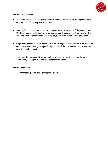

## **Further Information**

- A copy of the "Parents Ofsted contact number" poster must be displayed on the notice-board of the registered provision.
- As a registered provider all written complaints relating to the Safeguarding and Welfare requirements must be investigated and the complainant notified of the outcome of the investigation within 28 days of having received the complaint.
- Registered providers must provide Ofsted, on request, with a written record of all complaints made during any specified period, and the action which was taken as a result of each complaint.
- The record of complaints will be kept for at least 3 years from the date of completion, or longer if there is an outstanding query.

## **Further Guidance**

• Partnership with parents/carers policy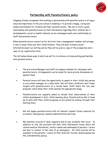

# **Partnership with Parents/Carers policy**

Stepping Stones recognises that working in partnership with parents/carers is of major value and importance to the pre-school in enabling it to provide a happy, caring and stable environment for children and their parents/carers. We aim to form a good relationship with parents/carers so that information regarding their children (be it developmental, social or health related) can be exchanged easily and comfortably by staff and parents/carers.

When parents/carers contact us for the first time a management member will arrange a time to meet them and their child/children. They will want to know overall information about our setting and so they will be given a copy of the prospectus and a copy of our registration form.

The list below shows ways in which we will try to achieve a strong working partnership with parents/carers:

- The pre-school Manager and staff are always available for discussion with parents/carers. Arrangements can be made for more private discussions at agreed times.
- Parents/carers will have the opportunity to speak to their child's key person or pre-school manager on a daily basis. We will share children's 'next steps' targets with parents/carers on a termly basis. Staff share the 'two year progress' check when their child reaches the appropriate stage.
- Parents/carers are regularly asked to include their observations of their child's development in their child's learning diary. Parents will be able to keep up-to-date with their child's progress at pre-school by looking through their learning diary.
- We will supply parents/carers with all relevant consent forms required for accidents, emergencies, medical administration and trips.
- We maintain records of daily registers and of any incidents that occur. In addition to this the provision will hold child information forms which will contain medical information, contact names and addresses of parents / carers and who to contact in the case of an emergency. All child records will be available to the parents / carers of that child (for further details please see the confidentiality policy).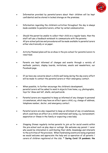

- Information provided by parents/carers about their children will be kept confidential and be stored in locked storage on the premises.
- Information regarding the children's activities throughout the day is always made available to parents/carers, either by verbal communication.
- Should the parent be unable to collect their child on a regular basis, then the staff will use a feedback notebook to communicate with the parents.
- All pre-school policies and procedures will be made available to parents/carers either electronically or on paper.
- Activity/themed plans will be on show in the pre-school for parents/carers to view/read.
- Parents are kept informed of changes and events through a variety of methods: posters, display boards, invitations, emails and newsletters, our Facebook page.
- If we have any concerns about a child's well being during the day every effort will be made to contact the parents/carers or their emergency contact.
- When possible, to further encourage the children's development, parents/carers will be asked to send in objects from home, e.g. photographs, toys for 'show and tell', shells, and postcards.
- Parents/carers are requested to keep us informed of any changes to personal circumstances, which may have an effect upon a child, e.g. change of address, telephone number, doctor, and emergency contact.
- Parents/carers are also requested to keep us informed of any circumstances, which could have an effect on a child's emotional well being, e.g. bereavement, separation or illness in the family or expecting a new baby
- Stepping Stones regularly invites parents to join us for social events within the pre-school such as play days or outings. We welcome any parent / carer who would be interested in contributing their skills, knowledge and interests to the activities of the provision. When fundraising events are being organised we would welcome and appreciate the help and co-operation of all parents / carers of children registered at the club. **\* During Covid 19 pandemic the**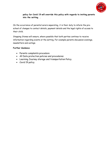

**policy for Covid 19 will override this policy with regards to inviting parents into the setting. .**

On the occurrence of parents/carers separating, it is their duty to inform the preschool of changes to contact details, payment details and the legal rights of access to their child.

Stepping Stones will ensure, where possible that both parties continue to receive information regarding events at the setting. For example parents discussion evenings, newsletters and outings.

- Parents complaints procedure
- All Data protection policies and procedures
- Learning Journey storage and transportation Policy.
- Covid 19 policy.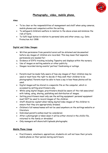

# **Photography, video, mobile phone.**

#### **Aims**

- To be clear on the responsibilities of management and staff when using cameras, mobile phones and computers within the setting.
- To safeguard children's welfare in relation to the above areas and minimize the risk of harm.
- To fulfil legal duties in relation to personal data and other areas, e.g.: Data Protection Act 1998

## **Digital and Video Images**

- Written permission from parents/carers will be obtained and documented before any images of children are recorded. This may mean that separate permissions are needed for:
- a. Evidence of EYFS tracking including Tapestry and displays within the nursery.
- b. Use of images on setting website or other publicity.
- c. Images recorded during events/ parties/ fundraising or outings.
- Parents must be made fully aware of how any images of their children may be used or must have the right to decide if they wish their children to be photographed. Parents must be able to have a say in how these photos will be used.
- Digital images will be stored in a separate file on the computer, which is accessed by setting practitioners only.
- While using digital images, practitioners should be aware of the risk associated with taking, using, sharing, publishing and distribution of images.
- Setting practitioners must only use the setting equipment: personal equipment must NOT be used to record images of the children.
- Staff should be vigilant when taking digital/video images of the children to ensure that they are appropriately dressed.
- Children's full names/names will not be used anywhere on the settings website or literature
- Individual parent's wishes must be considered.
- After a photograph is taken down it will be either stored in the child's file, returned to the family or shredded
- Only managers will share/edit/uploads photographs.

#### **Mobile Phone Usage**

• Practitioners, volunteers, apprentices, students etc will not have their private mobile phone on their person during work hours.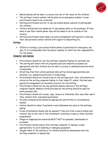

- Mobile phones will be kept in a secure box out of the reach of the children.
- The setting's contact number will be given as an emergency number in case practitioners need to be contacted.
- Setting practitioners are not to use any mobile phone cameras to photograph the children.
- Visitors and parents are asked not to use phones while on the premises. If they need to use their mobile phone they will be asked to do so outside of the nursery.
- Setting practitioners must make a private arrangement with parents in sharing their own personal contact details with regard to babysitting etc.

## **Outings:**

• Offsite on outings, a pre-school mobile phone is permitted for emergency use only. It is recommended that the senior member of staff has the responsibility for the phone.

# **Computer and laptops**

- Practitioners should not use the setting's computer/laptop for personal use.
- The setting will ensure that all programs used and websites accessed are appropriate and that children are not able to access or download material which is unsuitable.
- All setting files that contain personal data will be stored appropriately and securely, e.g.: password protected or locked away.
- Practitioners should not forward any of the settings work, files, information etc stored on the setting computer/laptop to their home PC, unless, this has been agreed by management as necessary practice for the setting.
- Practitioners should not use any personal memory devices in the setting's computer/laptop. Memory sticks provided by the setting should be used for work purposes only.
- Practitioners should not access, copy, remove or otherwise alter any other user's files, without their expressed permission.
- All email communication should be appropriate and written in a professional manner.
- Caution should be taken if personal e-mail addresses are used on the settings laptop.
- E-mail attachments should only be opened if they are from a source known and trusted, due to the risk of the attachment containing viruses or other harmful programmes.
- Illegal or inappropriate materials MUST NOT be uploaded, downloaded or accessed.
- Practitioners should ensure that setting's computer or laptops is used appropriately to avoid disabling or damaging equipment.
- Images taken of the setting or its children should be downloaded onto the settings computer or laptop only.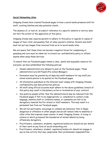

# **Social Networking Sites**

Stepping Stones have created Facebook pages to have a social media presence both for staff, existing families and also potential clients.

The absence of, or lack of, an explicit reference to a specific website or service does not limit the extent of the application of this policy.

Stepping Stones also requires parents to adhere to this policy in regards to copies of images of their child, and possibly that of other parent's children. Parents and staff must not put any images from received from us on to social media sites.

We are aware that these sites can become a negative forum for complaining or gossiping and care must be taken not to breach our confidentiality policy or offend anyone when using these services.

To ensure that our [Facebook pages](http://www.facebook.com/nmcuk) remain a clear, useful and enjoyable resource for everyone, we have established the following policies:

- Chosen administrators are allowed to post on the Facebook pages. These administrators are Gill Powell (Pre-school Manager).
- Permission must be granted by all depicted staff members for any staff preschool events photos to be posted on the Facebook pages.
- All information published on the Internet must comply with Stepping Stoness confidentiality and data protection policies.
- All staff using official accounts must adhere to the above guidelines; breech of this policy may result in disciplinary action or termination of your contract.
- Any posts by people (other than the administrators) may be removed from the Facebook pages if felt to be inappropriate i.e. considered to contain crude language, mention staff or children's names, or comments are felt to be derogatory towards the Pre-School or staff members. This may result in a permanent ban from our Facebook pages.
- We will not participate, encourage or condone any behaviour that is illegal, dangerous or offensive to other people and we will remove links to websites or other sites that express views counter to what Stepping Stones is trying to achieve or which go beyond the boundaries of normal debate by being offensively derogatory.
- Practitioners, volunteers, students, registered bodies etc should not put details of their work on any form of social networking site.
- Practitioners, volunteers, student, registered bodies etc should not engage in any on-line activity that may compromise their professional responsibilities.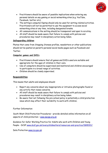

- Practitioners should be aware of possible implications when entering any personal details on any gaming or social networking sites (e.g. YouTube, Facebook, twitter etc).
- The setting's computer/laptop should only be used for setting related activities. Practitioners will not be permitted to use the equipment to access social networking sites at any time, including designated breaks.
- All communications in the setting should be transparent and open to scrutiny.
- All staff should be made aware that failure to comply with policies and procedures may result in disciplinary action being taken.

# **Safeguarding children**

Photos that come from Stepping Stoness profiles, newsletters or other publications should not be posted on parent's personal social media pages such as Facebook and **Twitter** 

# **Computer games and DVD's**

- Practitioners should ensure that all games and DVD's used are suitable and appropriate for the ages of children in their care.
- Use of computers should be supervised and monitored and children encouraged to participate in a broad range of activities.
- Children should be closely supervised.

# **Responsibilities**

This means that adults and employees should:

- Report any concerns about any inappropriate or intrusive photographs found or any activity that raises concerns.
- All staff should be made aware that failure to comply with policies and procedures may result in disciplinary action being taken.
- Be aware that not following the pre-school policy is potentially a child protection issue which may affect their suitability to work with children.

# Further Information

South West Child Protection Procedures – provide detailed online information on all aspects of child protection – [www.swcpp.org.uk](http://www.swcpp.org.uk/)

Guidance for Safer Working Practice for Adults who work with Children and Young People - DCSF [www.dcsf.gov.uk/everychildmatters/resources-and-practice/IG00311/](http://www.dcsf.gov.uk/everychildmatters/resources-and-practice/IG00311/)

Data Protection [www.ico.gov.uk](http://www.ico.gov.uk/)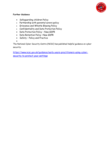

# **Further Guidance**

- Safeguarding children Policy
- Partnership with parents/carers policy
- Grievance and Whistle Blowing Policy
- Confidentiality and Data Protection Policy
- Data Protection Policy New GDPR
- Data Retention Policy –New GDPR
- Safety Policy and Practice
- •

The National Cyber Security Centre (NCSC) has published helpful guidance on cyber security:

[https://www.ncsc.gov.uk/guidance/early-years-practitioners-using-cyber](https://www.ncsc.gov.uk/guidance/early-years-practitioners-using-cyber-security-to-protect-your-settings)[security-to-protect-your-settings](https://www.ncsc.gov.uk/guidance/early-years-practitioners-using-cyber-security-to-protect-your-settings)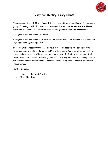

# **Policy for staffing arrangements**

The deployment for staff working with the children will work on ratios set for each age group . **\* During Covid 19 pandemic in emergency situations we can use a different ratio and different staff qualifications as per guidance from the Government.** 

2 – 3 year olds – Pre-school– 1:4 ratio

3 – 5 year olds – Pre-school – 1:8 ratio or 1:13 (where a qualified teacher is available and is working with a Level 3 practitioner)

Stepping Stones recognises that we do have a qualified teacher who can work with larger numbers of children during school/term time hours. Some activities may call for pre-school groups to be of larger numbers, but a ratio of 1:8 will be maintained at all other times when possible. According the EYFS Statutory Guidance 2021 exceptions to ratios may be made exceptionally and where the quality of care and safety to children is maintained.

- Safety Policy and Practice
- Staff Handbook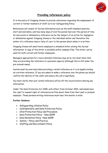

# **Providing references policy**

It is the policy of Stepping Stones to provide references regarding the employment of current or former members of staff as in our Safeguarding Policy.

References will consist of factual information such as the staff members position, start and end dates, and how many days of sick the person had over this period of time. An inaccurate or defamatory reference can be the subject of an action for negligence or defamation against Stepping Stones or the individual author and therefore the author of a reference owes a 'duty of care' to the person about whom it is written.

Stepping Stones will send future employers a standard letter stating the factual information. A copy of this letter is available within company files. This letter can be used for both current and former employees.

Managers approached for a more detailed reference may do so, but must state that they are providing the reference in a personal capacity (although this is still under the pre-schools name).

Caution must be exercised when providing a verbal reference as it is as legally binding as a written reference. If you are asked to make a reference over the phone you should confirm the identity of the caller and ensure the call is legitimate.

You must clarify that your verbal reference will be off the record before sharing any information.

Under The Data Protection Act 1998, with effect from October 2001, individuals have the right to request sight of references written about them from their past or present employer. Those persons writing references must bear this matter in mind.

- Safeguarding children Policy
- Confidentiality and Data Protection Policy
- Child Protection Policy and Procedure
- Data Protection Policy New GDPR
- Data Retention Policy –New GDPR
- Safety Policy and Practice
- Staffing and Recruitment Policy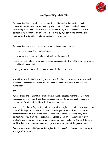

# **Safeguarding Children**

Safeguarding is a term which is broader than 'child protection' as it also includes prevention. Whilst local authorities play a lead role, safeguarding children and protecting them from harm is everyone's responsibility. Everyone who comes into contact with children and families has a role to play. We commit to creating and maintaining the safest possible environment for children.

Safeguarding and promoting the welfare of children is defined as:

• protecting children from maltreatment;

• preventing impairment of children's health or development;

• ensuring that children grow up in circumstances consistent with the provision of safe and effective care; and

• taking action to enable all children to have the best outcomes.

We will work with children, young people, their families and other agencies taking all reasonable measures to ensure that the risks of harm to children's welfare are minimised;

## and

Where there are concerns about children and young people's welfare, we will take appropriate action to address those concerns, working to agreed local policies and procedures in full partnership with other local agencies.

We recognise that safeguarding children is vital for registered childcare providers, as part of the legal requirements of their Ofsted registration, and for charities, as charity trustees have a duty of care towards the children with whom they have contact. We know that having safeguards in place within an organisation not only protects and promotes the welfare of children but also it enhances the confidence of staff, volunteers, parents/carers, management or trustees and the general public.

For the purposes of child protection legislation the term 'child' refers to anyone up to the age of 18 years.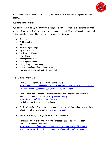

We believe children have a right to play and be safe. We take steps to promote their safety.

### **Working with children**

We believe in equipping children with a range of skills, information and confidence that will help them to protect themselves in the community. Staff will act as role models and listen to children. We will discuss in an age appropriate way:

- Choices
- Setting rules
- Values
- Expressing feelings
- Rights of a child
- Healthy relationships
- Friendships
- Appropriate touch
- Keeping safe online
- Recognising and assessing risk
- Problem solving and decision making
- How and where to get help when needed

For Further Information

- *Working Together to Safeguard Children 2015* [https://www.gov.uk/government/uploads/system/uploads/attachment\\_data/file](https://www.gov.uk/government/uploads/system/uploads/attachment_data/file/419595/Working_Together_to_Safeguard_Children.pdf) [/419595/Working\\_Together\\_to\\_Safeguard\\_Children.pdf](https://www.gov.uk/government/uploads/system/uploads/attachment_data/file/419595/Working_Together_to_Safeguard_Children.pdf)
- *R*ecruitment and selection of charity trustees requirements are set out in guidance, Finding new trustees, [http://www.charity](http://www.charity-ommission.gov.uk/Publications/cc30.aspx)[ommission.gov.uk/Publications/cc30.aspx](http://www.charity-ommission.gov.uk/Publications/cc30.aspx) available from the charity commission
- South West Child Protection Procedures provide detailed online information on all aspects of child protection - [www.swcpp.org.uk](http://www.swcpp.org.uk/)
- EYFS 2014 Safeguarding and Welfare Requirements
- Safeguarding children and protecting professionals in early years settings: online safety considerations – [http://www.gov.uk/government/publications/safeguarding-children-and](http://www.gov.uk/government/publications/safeguarding-children-and-protecting-professionals-in-early-years-settings-online-safety-considerations)[protecting-professionals-in-early-years-settings-online-safety-considerations](http://www.gov.uk/government/publications/safeguarding-children-and-protecting-professionals-in-early-years-settings-online-safety-considerations)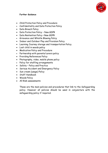

### **Further Guidance**

- Child Protection Policy and Procedure
- Confidentiality and Data Protection Policy
- Data Breach Policy
- Data Protection Policy New GDPR
- Data Rentention Policy –New GDPR
- Grievance and Whistle Blowing Policy
- Indoor and Outdoor Play and Provision Policy
- Learning Journey storage and transportation Policy.
- Lost child in woods policy
- Medication Policy and Procedure
- Partnership with parents/carers policy
- Providing References Policy
- Photography, video, mobile phone policy
- Policy for staffing arrangements
- Safety Policy and Practice
- Serious Accident and Emergency Policy
- Sun cream (usage) Policy
- Staff Handbook
- Woods Policy
- All Risk assessments

These are the main policies and procedures that link to the Safeguarding policy. However all policies should be used in conjuncture with the safeguarding policy if required.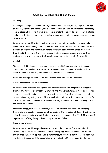

# **Smoking, Alcohol and Drugs Policy**

# **Smoking**

Smoking or vaping is not permitted anywhere on the premises, during trips and outings or directly outside the setting (this also includes the smoking of electronic cigarettes). This is especially pertinent when children are present or about to be present. This rule applies equally to managers, staff, students, volunteers, children, parents/carers or any other visitors.

If a member of staff or individual working with the children smokes, they are **only** permitted to do so during their designated lunch break. We ask that they change their clothes, or remove the outer layer before returning back to work. Staff must wash their hands thoroughly. Staff must ensure that any smoking products and lighting equipment are stored safely in their own bag and kept out of reach of the children.

## **Alcohol**

Managers, staff, students, volunteers, visitors, or children who arrive at Stepping Stones and are clearly or suspected of being under the influence of alcohol, will be asked to leave immediately and disciplinary procedures will follow.

Staff are strongly advised not to bring alcohol onto the setting's premises.

## **Drugs, medication/other substances**

In cases where staff are taking over the counter/prescribed drugs that may affect their ability to function effectively at work, the Pre-School Manager must be informed as early as possible and a risk assessment will be completed. Staff should also seek medical advice regarding their ability to work with children whilst taking medication. In addition, they need to ensure that any medication, they have, is stored securely out of the reach of children.

Managers, staff, students, volunteers, visitors or children who arrive at Stepping Stones and are clearly or suspected of being under the influence of illegal drugs, will be asked to leave immediately and disciplinary procedures implemented. If staff are found in possession of illegal drugs, disciplinary action will follow.

## **Parents and Carers**

If a member of staff has good reason to suspect that a parent/carer is under the influence of illegal drugs or alcohol when they drop off or collect their child, to the extent that the safety of the child is threatened, they have a duty to inform both the Pre-School Manager and the designated Child Protection Officer, according to the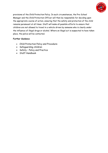

provisions of the Child Protection Policy. In such circumstances, the Pre-School Manager and the Child Protection Officer will then be responsible for deciding upon the appropriate course of action, ensuring that the safety and protection of the child remains paramount at all times. Staff will make all possible efforts to ensure that children are not allowed to travel in a vehicle driven by someone who is clearly under the influence of illegal drugs or alcohol. Where an illegal act is suspected to have taken place, the police will be contacted.

- Child Protection Policy and Procedure
- Safeguarding children
- Safety Policy and Practice
- Staff Handbook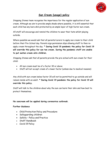

# **Sun Cream (usage) policy**

Stepping Stones team recognise the importance for the regular application of sun cream. Although we aim to provide ample shade where possible, it is still essential that each child has any bare skin protected by an ample layer of high factor sun cream.

All staff will encourage and remind the children to wear their hats whilst playing outside.

Where possible we would ask that all parents/carers to apply sun cream to their child before their Pre-School day. Parents sign permission slips allowing staff to then reapply cream throughout the day. **\* During Covid 19 pandemic the policy for Covid 19 will override this policy for sun tan cream. During the pandemic staff are unable to put suntan cream onto children.**

Stepping Stones ask that all parents provide the pre-school with sun cream for their child:

- All sun cream must be of a factor 30 or above
- Staff will not accept cream of a lower factor (unless due to medical reasons)

Any child with sun cream below factor 30 will not be permitted to go outside and will remain inside with an adult. **\* During Covid 19 pandemic the policy for Covid 19 will override this policy.**

Staff will talk to the children about why the sun can harm their skin and how best to protect themselves.

## **No suncream will be applied during coronavirus outbreak.**

- Child Protection Policy and Procedure
- Safeguarding children
- Safety Policy and Practice
- Staff Handbook
- Covid 19 Policy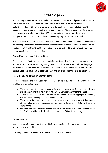

# **Transition policy**

At Stepping Stones we strive to make our service accessible to all parents who wish to use it and we will ensure that no child, individual or family will be unlawfully discriminated against on the grounds of age, sex, sexuality, family status, means, disability, race ethnic origin, culture, religion or belief. We are committed to creating an environment in which individual differences and everyone's contributions are recognised and valued and we believe in promoting dignity and respect to all.

We recognise that each child has their own individual needs and so there is an emphasis on working closely with parents/carers to identify and meet these needs. This helps to make sure all transitions, both from home to pre-school and moves between rooms as smooth and stress free as possible.

## **Transition from home/other setting**

During the settling in period prior to a child starting at the Pre-school, we ask parents to share information with us regarding their child, their needs and abilities, language, routine etc. This information is recorded on a settle/transition form. The child's key person uses this as an initial observation of the children's learning and development.

## **Transitioning to school or another setting**

Transfer records are to be used for pre-school children due to transition into school or another pre-school setting

- The purpose of the transfer record is to share accurate information about each child's achievement in relation to the EYFS Development Matters bands
- The record will enable teachers and practitioners to inform appropriate planning for individual learning and development needs
- These records should be passed on to the new school or setting within a month of the child's move or the record can be given to the parent to take to the child's new setting
- Evidence for the Transfer record will be taken from the child's learning diary (profile) this will include the Characteristics of Effective Learning

# **School readiness**

We aim to provide opportunities for children to develop skills to enable an easy transition into school life.

Stepping Stones has placed an emphasis on the following skills: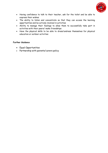

- Having confidence to talk to their teacher, ask for the toilet and be able to express their wishes
- The ability to listen and concentrate so that they can access the learning opportunities and be actively involved in activities
- Ability to manage their feelings to allow them to successfully take part in activities with their peers/ make friendships
- Have the physical skills to be able to dress/undress themselves for physical education or outdoor activities

- Equal Opportunities
- Partnership with parents/carers policy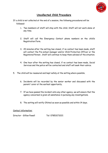

# **Uncollected Child Procedure**

If a child is not collected at the end of a session, the following procedures will be followed:

- 1. Two members of staff will stay with the child. Staff will not work alone at any time.
- 2. Staff will call the Emergency Contact phone numbers on the child's Registration Form.
- 3. 20 minutes after the setting has closed, if no contact has been made, staff will contact the Pre-school manager and/or Child Protection Officer or the Registered Person . Staff will continue to keep them advised of the situation.
- 4. One hour after the setting has closed, if no contact has been made, Social Services and the police will be contacted and staff will seek their advice.
- 5. The child will be reassured and kept safely at the setting where possible.
	- 6. Incidents will be recorded by the senior worker and discussed with the parent/ carer at the earliest opportunity.
	- 7. If we have passed the incident onto any other agency, we will ensure that the agency concerned is given all assistance in pursuing any investigations.
	- 8. The setting will notify Ofsted as soon as possible and within 14 days.

#### Contact information:

Director - Gillian Powell Tel: 07853173221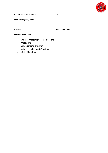

Avon & Somerset Police

101

(non-emergency calls)

Ofsted

0300 123 1231

- Child Protection Policy and Procedure
- Safeguarding children
- Safety Policy and Practice
- Staff Handbook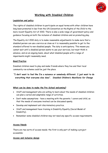

# **Working with Disabled Children**

## **Legislation and policy**

The rights of disabled children to participate on equal terms with other children have long been promoted in law from the UN Convention on the Rights of the Child to the more recent Equality Act of 2010. There is also a wide range of government policy and guidance focusing on both the inclusion of disabled children and on promoting play.

The Equality Act 2010 duty is to make reasonable adjustments to make sure that a disabled person can use a service as close as it is reasonably possible to get to the standard offered to non-disabled people. The duty is anticipatory. This means you cannot wait until a disabled person wants to use your services, but must think in advance, and on an ongoing basis, about what disabled people with a range of impairments might reasonably need.

### **Good Practice**

Disabled children need to play and make friends where they live and their local community run scheme could be just the place.

**"I don't want to feel like I'm a nuisance or somebody different. I just want to do everything that everyone else does".** *Disabled Children's Manifesto for Change*

## **What can be done to make the Pre-School welcoming?**

- Staff and management who are willing to learn about the needs of disabled children can plan a varied and adaptable range of activities.
- Don't make assumptions have a meeting with the parents / carers and child, so that the needs of everyone involved can be discussed openly.
- Develop and implement anti discriminatory practice.
- Staff and management have training in Disability Equality (Social Model of Disability).
- Remember some disabled children may not need any specific access requirements.

## **Access Needs**

There are two sorts of access needs; the first is only part of making a project accessible:

#### **Access and inclusive design**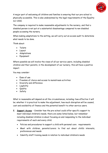

A major part of welcoming all children and families is ensuring that our pre-school is physically accessible. This is also underpinned by the legal requirements of the Equality Act 2010.

The company is required to make reasonable adjustments to the nursery, and that a disabled person is not put at a substantial disadvantage compared to non disabled people accessing the nursery.

When making adaptations to the setting, we will carry out an access audit to determine what needs to be done.

Think about:

- Toilets
- Layout
- Adaptations
- Equipment

Where possible we will involve the views of all our service users, including disabled children and their parents, in the development of our nursery, this will have a positive impact.

You may consider:

- Ease of use
- Freedom of choice and access to mainstream activities
- Diversity and difference
- Legibility
- Quality
- Safety

What is reasonable will depend on all the circumstances, including: how effective it will be; whether it is practical to make the adjustment, how much disruption will be caused, cost and availability of finance and the potential benefit to other service users.

- **2. Support Access** Consider how the pre-school could offer specific support to meet individual children's needs, there are some listed below, but remember including disabled children is about focusing on and responding to the individual requirements of each and every child.
	- Policies and procedures to support a child with personal care requirements
	- Meet with children, parents/carers to find out about child's interests, preferences and needs
	- Identify staff training needs in relation to individual children's needs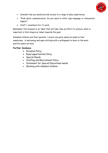

- Consider how you would provide access to a range of play experiences
- Think about communication. Do you need to offer sign language or interpreter support.
- Staff / volunteers for 1:1 work.

Remember full inclusion is an 'ideal' that will take time an effort to achieve; what is important is that steps are taken towards this goal.

Disabled children and their parents / carers can quite easily be made to feel unwelcome. A welcoming and open attitude with a willingness to learn is the most positive asset we have.

- Inclusion Policy
- Equal opportunities Policy
- Special Needs
- Staffing and Recruitment Policy
- Statement for Special Educational needs
- Working with disabled children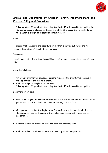

# **Arrival and Departures of Children, Staff, Parents/Carers and Visitors Policy and Procedure**

**\* During Covid 19 pandemic the policy for Covid 19 will override this policy. No visitors or parents allowed in the setting whilst it is operating normally during the pandemic except in exceptional circumstances.** 

### **Aims**

To ensure that the arrival and departure of children is carried out safely and to promote the welfare of the children in our care.

### **Procedure**

Parents must notify the setting in good time about attendance/non attendance of their child.

## **Arrival of Children**

- On arrival, a worker will encourage parents to record the child's attendance and time of arrival on the signing in sheet.
- Children will put their photo on the board. **\* During Covid 19 pandemic the policy for Covid 19 will override this policy.**

## **Departure of Children**

- Parents must give the written information about names and contact details of all people authorised to collect their child on the Registration Form.
- Only persons named on the Registration Form will be able to take the child, unless the person can give us the password which has been agreed with the parent on registration.
- Children will not be allowed to leave the premises unaccompanied.
- Children will not be allowed to leave with anybody under the age of 16.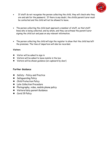

- If staff do not recognise the person collecting the child, they will check who they are and ask for the password. If there is any doubt, the child's parent/carer must be contacted and the child will not be allowed to leave.
- The person collecting the child must approach a member of staff, so that staff know who is being collected, and by whom, and they can witness the parent/carer signing the child out and pass on any relevant information.
- The person collecting the child will sign the register to show that the child has left the premises. The time of departure will also be recorded.

## **Visitors**

- ⚫ Visitor will be asked to sign in
- ⚫ Visitors will be asked to leave mobile in the box
- ⚫ Visitors will be shown guidance (on cupboard by door)

- ⚫ Safety Policy and Practice
- ⚫ Safeguarding Policy
- ⚫ Child Protection Policy
- ⚫ Late Collection Procedure
- ⚫ Photography, video, mobile phone policy
- ⚫ Visitors/duty parent Guidance
- Covid 19 Policy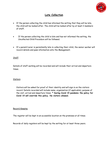

# **Late Collection**

- If the person collecting the child has informed the setting that they will be late, the child will be looked after. The child will be looked after by at least 2 members of staff.
- If the person collecting the child is late and has not informed the setting, the Uncollected Child Procedure will be followed.
- If a parent/carer is persistently late in collecting their child, the senior worker will record details and pass information onto the Management.

# Staff

Details of staff working will be recorded and will include their arrival and departure times.

## Visitors

Visitors will be asked for proof of their identity and will sign in on the visitors record. Details recorded will include name, organisation (if applicable), purpose of the visit, arrival and departure times. **\* During Covid 19 pandemic the policy for Covid 19 will override this policy. No visitors allowed.** 

## Record-Keeping

The register will be kept in an accessible location on the premises at all times.

Records of daily registers will be kept by the setting for at least three years.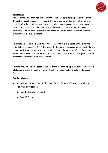

# Information

NB. Under the Children Act 1989 parents do not lose parental responsibility except through an adoption order. This means that divorced parents retain rights to have contact with their children unless the courts have made an order that they should not do so. Staff do not have the right to stop divorced or separated parents from collecting their children unless they are aware of a court order preventing contact between the child and a parent.

Parental responsibility is given to both parents if they are married at the time the child is born or subsequently. Otherwise only the mother has parental responsibility. An unmarried father has parental responsibility if the child was born after 1 December 2003 and his name is on the birth certificate. Unmarried fathers can acquire parental responsibility through a court application.

Parents should be in a fit state to collect their children. If a parent arrives in an 'unfit' state, for example through alcohol or drugs, the senior worker should notify Social Services.

- ⚫ Arrival and Departures of Children, Staff, Parents/Carers and Visitors Policy and Procedure
	- ⚫ Uncollected Child Procedure
	- Covid 19 Policy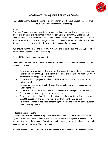

# **Statement for Special Education Needs**

Our Statement to support the inclusion of children with Special Educational Needs and of disabled children within our setting

### Aims

Stepping Stones provides inclusive play and learning opportunities for all children. Staff and children are supported so that we can welcome diversity. Disabled children/children with Special Educational Needs have access to broad and balanced opportunities within the Foundation Stage Curriculum. They are included in all of the activities of our setting by providing differentiated tasks and experiences.

We ensure that the SEN and disability Act 2001 and in particular the new SEN Code of Practice are implemented in our setting.

Special Educational Needs Co-ordinator

Our Special Educational Needs and Disability Co-ordinator is: Anna Thompson. Her responsibilities are:

- To provide information for the staff and to support them in identifying disabled children/children with Special Educational Needs and in including them into their groups with equal opportunities for all.
- To ensure that appropriate Individual Education Plans are in place, monitored and reviewed.
- To maintain records on the children and to be a channel of communication between agencies.
- To initiate action with other agencies as appropriate in respect of the Special Educational Needs of any child at Stepping Stones .
- To work in partnership with parents, offer them information which is clear and accessible, support them during their child's time in the pre-school.
- To involve children in decisions concerning their play and learning and to support them in making choices.

#### **Admission arrangements**

Disabled children/children with Special Educational Needs will not be discriminated against. Children's individual needs will be discussed with their parents/carers and we will adapt to meet those needs. We will be flexible during the settling in period so children can get to know us at their own pace.

Support available to disabled children/children with SEN/facilities to increase access.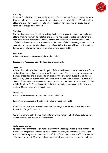

# **Staffing**

Provision for disabled children/children with SEN is a matter for everyone in our setting, and all staff are made aware of the individual needs of children. We will seek to offer and apply for the appropriate level of support for individual children. We arrange small groups when needed.

### **Training**

Our setting has a commitment to training in all areas of practice and in particular we attend training relevant to inclusion and meeting the needs of disabled children/children with Special Educational Needs. Hannah has attended an introduction to the SENDCO role course and has previously worked as a SENDCO offering support to children with behaviour, social and communication difficulties. We will seek advice and information in relation to individual children attending our setting.

#### **Facilities**

Wheelchair access down ramp and disabled toilet.

#### **Curriculum, Resources and the learning environment.**

#### **Curriculum**

All disabled children/children with Special Educational Needs have access to the foundation Stage curriculum differentiated to their needs. This is done by the way activities are presented and explained to children, by the amount of support given to the children, by what we expect of the children, always building on success. Children's Individual Education Plans are used to support access to the Foundation Stage Curriculum. All children benefit from changes to make the curriculum more accessible: ie story sacks, different ways of making choices.

#### **Resources**

We adapt our resources to suit the needs of children.

Identification, assessment and provision for children with SEN

All of the children are observed undertaking a range of activities in relation to the foundation Stage Curriculum.

We differentiate activities so that children with a range of abilities are catered for. All our activity logs include differentiation.

#### **Early Years Action**

If despite the differentiation taking place within Stepping Stones a child continues to make little progress in one area of development or more, the early years worker for the child will bring this to the attention of the SENDCo and senior staff. The appropriate member of staff will work in partnership with parents and involve the child as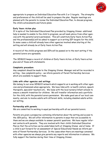

appropriate to prepare an Individual Education Plan with 2 or 3 targets. The strengths and preferences of the child will be used to prepare the plan. Regular meetings are planned with the parents to review the Individual Education Plan, to discuss progress, the child's achievements and future plans.

# **Early Years Action plus**

If in spite of the Individual Educational Plan provided by Stepping Stones additional help is needed to enable to the child to progress, we will seek advice from other agencies with the parents/carers permission. This will constitute Early Years Action Plus and the professional(s) will be asked to support us in writing IEP targets for the child. In some cases a child will already have other agencies involved when starting at the setting and will already be at Early Years Action Plus.

A record of the child's progress and IEPs will be passed on to the next setting if the parents/carers are agreeable.

The SENDCO keeps a record of children at Early Years Action, at Early Years action plus and of those with statements.

## **Complaints procedure**

Any complaint should be made to the Stepping Stones Manager and will be recorded in writing - See complaints policy - we inform parents of Parent Partnership Services which are available to support them.

## **Links with other agencies and settings**

We belong to our area SENDCO network which supports us in working with other agencies and professionals when appropriate. We have links with: ie health visitors, speech therapists, specialist teachers etc. We liaise with the local nursery/infant schools to ensure a smooth transition for children. We will transfer information and a portfolio for the child, with the parents/carers permission. We make good use of our local community, and aim to involve adults with different skills, including disabled adults within our setting.

#### **Partnership with parents**

We are committed to working in equal partnership with all our parents/carers.

Parents are given a prospectus containing information about the setting and access to the SEN policy. We will offer information to parents in ways that are accessible to them and we are always available to answer parents' questions. We have regular informal contacts with parents. They are involved with their child's Individual Education Plan so that the activities can be undertaken both at Stepping Stones and at home. If a child is put forward for an assessment of Special Educational Needs we inform parents of Parent Partnership Services. In the cases when there are meetings convened with other agencies we always give parents any reports and information in advance. We fully support the families during their time at Stepping Stones .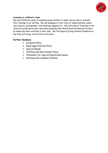

## **Listening to children's views**

We have different ways of enabling young children to make choices and to express their feelings in our setting. We use language at their level of understanding, significant objects, photographs, line drawings, puppets etc. We find ways of listening to the children's preferences and views when planning Individual Education Plans particularly by observing them carefully in their play. We find ways of giving children feedback on how they are doing, and we build on success.

- Inclusion Policy
- Equal opportunities Policy
- Special Needs
- Staffing and Recruitment Policy
- Statement for Special Educational needs
- Working with disabled children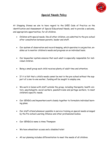

# **Special Needs Policy**

At Stepping Stones we aim to have regard to the DfEE Code of Practice on the identification and Assessment of Special Educational Needs, and to provide a welcome, and appropriate opportunities, for all children.

- Children with special needs, like all other children, are admitted to the pre-school after consultation between parents, leader and staff.
- Our system of observation and record-keeping, which operates in conjunction, enables us to monitor children's needs and progress on an individual basis.
- Our keyworker system ensures that each adult is especially responsible for individual children.
- Being a small group each child receives plenty of adult time and attention.
- If it is felt that a child's needs cannot be met in the pre-school without the support of a one-to-one worker, funding will be sought to employ one.
- We work in liaison with staff outside the group, including therapists, health visitors, psychologists, social workers, paediatricians and portage workers, to meet children's specific needs.
- Our SENDCo and keyworkers work closely together to formulate individual learning plans.
- Our staff attend whenever possible in-service training on special needs arranged by the Pre-school Learning Alliance and other professional bodies.
- Our SENDCo's name is Anna Thompson
- We have wheelchair access and a disabled toilet
- All our planning includes differentiation to meet the needs of all children.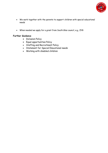

- We work together with the parents to support children with special educational needs
- When needed we apply for a grant from South Glos council, e.g., EY8

- Inclusion Policy
- Equal opportunities Policy
- Staffing and Recruitment Policy
- Statement for Special Educational needs
- Working with disabled children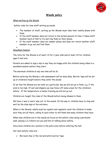

# **Woods policy**

### When setting up the Woods

Safety rules for lone staff setting up woods.

- The member of staff, setting up the Woods must take their mobile phone with them.
- If the staff member does not return in the normal amount of time it takes staff member back at Hall to try and ring them on their phone.
- If the staff member does not answer phone and does not return another staff member to go out and find them.

# •

#### Woodland Session

The ratio for the Woods is at least 1:4 for 2 year olds and at least 1:8 for children aged 3 and over.

Parents are asked to sign a slip to say they are happy with the children being taken in a woodland session before they start.

The maximum children at any one time will be 16.

Before entering the Woods a risk assessment will be done daily. Barrier tape will be set up at children's height before they enter the woods.

If we feel the Woods are not safe on a particular day we will not go in them, e.g. if the wind is too high. If wet and slippery we may fence off some areas for the children's safety. If the temperature is below freezing we will not go out.

Children are taught the rules of the Woods before being allowed in them.

We have a' way in' and a 'way out' to the woods. On the way in, children have to stop and wait by the stop sign at the entrance.

When in the Woods, adults must be vigilant and regularly count the children to make sure they are all there, calling to each other to tell them how many children they have.

When new children are in the woods we focus on the safety rules doing a perimeter walk, playing 1,2,3 where are you and lots of talking about safety.

Once back children are counted in the patio area before entering the hall.

Our main safety rules are:-

• We must stay in the red and white barrier tape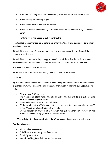

- We do not pick any leaves or flowers only use items which are on the floor.
- We must stop at the stop signs
- When called back to the den we return.
- When we hear the question "1, 2, 3 where are you?" we answer "1, 2, 3, I'm over here"
- Nothing from the woods is put in our mouths

These rules are reinforced daily before we enter the Woods and during our song which we sing in the den.

If a child forgets one of these golden rules, they are returned to the den and their parents are informed.

If a child continues to disobey/struggle to understand the rules they will be stopped from coming to the woodland sessions until we feel it is safe for them to return.

We wash our hands when we return

If we lose a child we follow the policy for a lost child in the Woods.

#### Toileting

If a child needs the toilet whilst in the Woods , they will be taken back to the hall with a member of staff. To keep the children safe from harm in line with our Safeguarding Policy

- All staff are DBS checked
- The member of staff taking the child back to the hall will take a mobile phone (with no camera on) with them.
- There will always be 1 staff to 2 children.
- If the member of staff does not return in the expected time a member of staff in the Woods will phone them on the mobile.
- If the member of staff does not answer the mobile a member of staff in the Woods will immediately go back to look for them.

## **The safety of children and adults is of paramount importance at all times.**

- Woods risk assessment
- Child Protection Policy and Procedure
- Equal Opportunities
- Health and Hygiene Policy and Procedure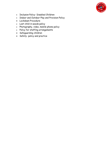

- Inclusion Policy- Disabled Children
- Indoor and Outdoor Play and Provision Policy
- Lockdown Procedure
- Lost child in woods policy
- Photography, video, mobile phone policy
- Policy for staffing arrangements
- Safeguarding children
- Safety- policy and practice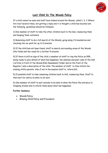

# **Lost Child In The Woods Policy**

If a child cannot be seen and staff have looked around the Woods, called 1, 2, 3 Where Are You? several times, not getting a reply and it is thought a child has become lost, the following guidelines should be followed:-

1) One member of staff to take the other children back to the Den, reassuring them and keeping them contained.

2) Remaining staff to do a full search of the Woods, going along it's boundaries and checking the car park for up to 5 minutes.

3) If the child has not been found, staff to search surrounding areas of the Woods (the fields and the road) for a further 5 minutes.

4) If there is still no sign of the child, a member of staff to ring the Police on 999, being ready to give details of what has happened, the address and post code of the Hall ( written in front of the Woods Risk Assessment folder and on the front of the Register ) and a description of the child. The member of staff to then inform the missing child's parents. Also if not in the session staff to inform Gill.

5) If possible staff to take remaining children back to Hall, reassuring them. Staff to then wait for advice on what to do next.

6) One member of staff to wait outside to be able to show the Police the entrance to Stepping Stones and to inform them about what has happened.

- Woods Policy
- Missing Child Policy and Procedure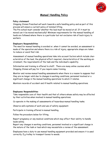

# **Manual Handling Policy**

#### **Policy statement**

Stepping Stones Preschool will work towards a safe handling policy and as part of this process will ensure a current policy of minimal lifting.

The Pre-school must consider whether the load must be moved at all. If it must be moved can it be moved mechanically? Minimum requirements for the manual handling of loads are followed where there is a particular but not exclusive risk of back injury to workers.

### **Employers Responsibilities**

The need for manual handling is avoided or, when it cannot be avoided, an assessment is made of the operation and where there is a risk of injury, appropriate steps are taken to reduce or avoid that risk.

Assessment of manual handling operations take into account factors which include characteristics of the load, the physical effort required, characteristics of the working environment, the requirements of the task and the individual's capability.

Information and training is offered to staff. There are many online courses which Stepping Stones will pay for if you require some training.

Monitor and review manual handling assessments when there is a reason to suppose that they are no longer valid due to changes in working conditions, personnel involved or a significant change in the manual handling operations to which it relates.

Maintain records of accident and ill health related to manual handling operations.

## **Employees Responsibilities**

Take responsible care of their health and that of others whose safety may be affected by their activities when involved in manual handling operations.

Co-operate in the making of assessments of hazardous manual handling tasks.

Observe safe systems of work and use of safety equipment.

Participate in training offered in manual handling.

Follow the procedure below for lifting.

Report pregnancy or any medical conditions which may affect their ability to handle loads safely.

Report any changes in working conditions, personnel involved or a significant change in the nature of the task or load which may necessitate a review of the assessment.

Employees have a duty to use manual handling equipment provided and ensure it is used correctly. E.g trolley to transport boxes to woods.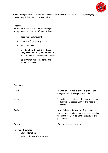

When lifting children consider whether it is necessary to have help. If lifting/carrying is necessary follow the procedure below.

#### **Procedure**

If you decide to proceed with a lifting activity the correct way to lift is as follows:

- Keep the back straight
- Place the feet slightly apart
- Bend the knees
- Grip firmly (with palms not finger tips), then lift slowly holding the object as close to your body as possible
- Do not twist the body during the lifting procedure.

| Summary |
|---------|
|---------|

| Avoid  | Whenever possible, avoiding a manual han-<br>dling situation is always preferable.                                                                       |
|--------|----------------------------------------------------------------------------------------------------------------------------------------------------------|
| Assess | If avoidance is not possible, make a suitable<br>and sufficient assessment of the hazard<br>and risks.                                                   |
| Reduce | By defining a safe system of work and fol-<br>lowing the procedure above you are reducing<br>the risks of injury to all the persons in the<br>procedure. |
| Review | Review system regularly.                                                                                                                                 |

- Staff Handbook
- Safety- policy and practice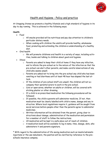

# Health and Hygiene - Policy and practice

At Stepping Stones we promote a healthy lifestyle and a high standard of hygiene in its day to day running. This is achieved in the following ways;

# **Health**

- Food
	- o All snacks provided will be nutritious and pay due attention to children's particular dietary needs.
	- o When cooking with children the adults will provide healthy, wholesome food, promoting and extending the children=s understanding of a healthy diet.
- Oral health
	- o We will promote childrens oral health in a variety of ways, including activities, books and talking to children about good oral hygiene.
- Illness
	- o Parents are asked to keep their child at home if they have any infection, and to inform the pre-school as to the nature of the infection so that the pre-school can alert other parents, and make careful observations of any child who seems unwell.
	- o Parents are asked not to bring into the pre-school any child who has been vomiting or had diarrhoea until at least 48 hour has elapsed the last attack.
	- o If the children of pre-school staff are unwell, the children will not accompany their parents/carers to work in the pre-school.
	- o Cuts or open sores, whether on adults or children, will be covered with sticking plaster or other dressing.
	- o If a child is on prescribed medication the following procedures will be followed:
	- $\circ$  If possible, the child=s parents will administer medicine. If not, then medication must be clearly labelled with child=s name, dosage and any instruction. Where local regulations require it, guidance will be sought from social services before people other than the parents agree to administer medicines.
	- o Written information will be obtained from the parent, giving clear instructions about dosage, administration of the medication and permission for a member of staff to follow the instructions.
	- o All medication will be kept in a safe place out of reach of children.
	- $\circ$  A medication book will be available to log in name, time, dosage, date, who administers it and parents signature.

\* With regard to the administration of life saving medication such as insulin/adrenalin injections or the use nebulisers, the position will be clarified by reference to the preschools insurance company.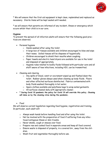

\* We will ensure that the first aid equipment is kept clean, replenished and replaced as necessary. Sterile items will be kept sealed until needed.

\* we will ensure that parents are informed of any incident, illness or emergency which occurs whilst their child is in our care.

#### **Hygiene**

To prevent the spread of all infection adults will ensure that the following good practices are observed.

- Personal hygiene
	- o Hands washed after using the toilet.
	- o A large box of tissues available and children encouraged to blow and wipe their noses. Soiled tissues will be disposes of hygienically.
	- o Children encouraged to shield their mouths when coughing.
	- o Paper towels and electric hand dryers are available for use in the toilet and disposed of appropriately.
	- o Hygiene rules related to bodily fluids followed with particular care and all staff aware of how infections, including HIV, can be transmitted.
- Cleaning and clearing
	- o Any spills of blood, vomit or excrement wiped up and flushed down the toilet. Rubber gloves always used when cleaning up body fluids. Floors and other affected surfaces disinfected. Fabrics contaminated with body fluids washed thoroughly in hot water.
	- o Spare clothes available and polythene bags to wrap soiled garments.
	- o All surfaces cleaned daily with appropriate cleaner.
- **\* During Covid 19 pandemic the policy for Covid 19 will override this policy. Cleaning will done as by the cleaning rotas during the pandemic.**
- Food

We will observe current legislation regarding food hygiene, registration and training. In particular, each adult will:

- o Always wash hands before handling food and after using the toilet.
- o Not be involved with the preparation of food if suffering from any infectious/contagious illness or skin trouble.
- o Never smoke, cough or sneeze over food.
- o Prepare raw and cooked food in separate areas and keep all food covered.
- o Ensure waste is disposed of properly, in a covered bin , away from the children.
- o Wash fruit and vegetables thoroughly before use.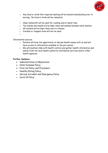

- o Any food or drink that requires heating will be heated immediately prior to serving. No food or drink will be reheated.
- o Clean tablecloth will be used for cooking and at snack time.
- o Tea towels and towels will be kept clean and washed between each session.
- o All utensils will be kept clean and in a drawer.
- o Cracked or chipped china will not be used.
- o

#### Information sources

- o Parents will have the opportunity to discuss health issues with us and will have access to information available to the pre-school.
- o We will maintain links with health visitors and gather health information and advise from the local health authority information services and/or other health agencies.

- Administration of Medication
- Child Sickness Policy
- First aid Policy and Procedure
- Healthy Eating Policy
- Serious Accident and Emergency Policy
- Covid 19 Policy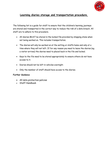

## **Learning diaries storage and transportation procedure.**

The following list is a guide for staff to ensure that the children's learning journeys are stored and transported in the correct way to reduce the risk of a data breach. All staff are to adhere to this procedure.

- All diaries MUST be stored in the locked file provided by stepping stone when not being worked on. This includes transportation.
- The diaries will only be worked on at the setting or staffs home and only at a time where they will not left. If for any reason you need to leave the diaries (eg a visitor arrives) the diaries need to placed back in the file and locked.
- Keys to the file need to be stored appropriately to ensure others do not have access to it.
- Diaries should not be left in vehicles overnight.
- Only the member of staff should have access to the diaries.

- All data protection policies
- Staff Handbook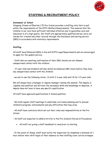

# **STAFFING & RECRUITMENT POLICY**

#### **Statement of Intent**

Stepping Stones at Elberton LTD Pre-School provides a staffing ratio that is well within the requirements of the EYFS Welfare Requirements. This ensures that the children in our care have sufficient individual attention and to guarantee care and education is of a high quality. Our Staff are appropriately qualified and we carry out checks for criminal and other records through the Disclosure and barring service (DBS) in accordance with statutory requirements.

#### **Staffing**

All staff have Enhanced DBSs in line with EYFS Legal Requirements and are encouraged to apply for the update service.

• Staff who are awaiting confirmation of their DBS checks are not allowed unsupervised contact with the children.

**.** 17-year-olds and students will also obtain an enhances DBS check before they have any unsupervised contact with the children.

• we aim to use the following ratios, 1:4 with 2-3 year olds and 1:8 for 3-5 year olds.

We will always have a manager or deputy manager running the session. The deputy is 'capable and qualified' and will have the necessary skills and knowledge to deputise. A deputy does not have to have any specific qualification.

All staff have approved qualifications if stated qualified.

• We hold regular staff meetings to undertake curriculum planning and to discuss children's progress, achievements and any difficulties that may arise.

• All staff have contracts which set out their roles and responsibilities at the Pre-School.

• All staff are expected to adhere strictly to the Pre-School's Policies & Procedures.

• All staff are giving a staff handbook to read prior to starting.

• In the event of illness, staff must notify the Supervisor by telephone a minimum of 1 hour before their shift begin of their absence so that staffing cover can be arranged.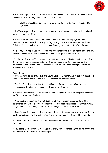

• Staff are expected to undertake training and development courses to enhance their CPD and to ensure a high level of education is provided.

• Staff appraisals are carried out once a year to identify the training needs of the staff.

• Staff are expected to conduct themselves in a professional, courteous, helpful and warm manner at all times.

• Staff induction training will take place in the first week of employment. This induction includes Health & Safety, Safeguarding, confidentiality and Mobile Phone Policies; all other policies will be introduced during the first month of employment.

• Smoking, drinking or use of drugs on the Pre-School site is strictly forbidden and any employee found to be contravening this, may be subject to instant dismissal.

• In the event of a staff grievance, the staff member should raise the issue with the Supervisor. The manager/director will then be responsible for investigating the grievance and the Complaints & Concerns Procedure and Safeguarding Policy will be followed (if applicable).

#### **Recruitment**

• A vacancy will be advertised on the South Glos early years vacancy bulletin, facebook, in the local press (in view) and in local shops with advertising space.

• The Pre-School is committed to recruiting, appointing and employing staff in accordance with all current employment and relevant legislation.

• We work towards equality of opportunity by using non-discriminatory procedures for staff recruitment and selection.

• We welcome applications from all sections of the community. Applicants will be considered on the basis of their suitability for the post, regardless of marital status, age, gender, culture, religious belief, ethnic origin or sexual orientation.

• Candidates will be asked to bring original identification paperwork to interview (birth certificate/passport/driving license). Copies will be made, verified and kept on file.

• When a position is offered, written references will be required if not supplied at interview.

• New staff will be given a 3 month probationary period, a meeting will be held with the Supervisor after 3 months to discuss progress.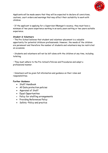

Applicants will be made aware that they will be expected to declare all convictions, cautions, court orders and warnings that may affect their suitability to work with children.

• If the applicant is applying for a Supervisor/Manager's vacancy, they must have a minimum of two years experience working in an early years setting or two years suitable experience.

#### **Student & Volunteers**

• The Pre-School believes that student and volunteer placement is a valuable opportunity for potential childcare professionals. However, the needs of the children are paramount and therefore the number of students and volunteers may be restricted on occasions.

• Students and volunteers will not be left alone with the children at any time, including toileting.

• They must adhere to the Pre-School's Policies and Procedures and adopt a professional manner.

• Volunteers will be given full information and guidance on their roles and responsibilities.

- Staff Handbook
- All Data protection policies
- Appraisal of Staff
- Equal Opportunities
- Policy for staffing arrangements
- Providing References Policy
- Safety –Policy and practice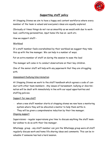

## **Supporting staff policy**

At Stepping Stones we aim to have a happy and content workforce where every member of the team is valued and everyone's ideas are equally explored.

Obviously at times things do not run as smoothly as we would wish due to workload, conflicting personalities, input home life has on work etc.

How we support staff:-

## Workload

If a staff member feels overwhelmed by their workload we suggest they take this up with the line manager. We can help in a number of ways.

Put an extra member of staff on during the session to ease the load

The manager will come in to conduct observations on their key children.

One of the senior staff will help with any paperwork that they are struggling with.

## Assessment/bullying/discrimination

At Stepping Stones we work to the staff handbook which agrees a code of conduct with other team members . Any issues of harassment, bullying or discrimination will be dealt with immediately in line with our equal opportunities and staffing policies.

## Support for new staff

- when a new staff member starts at stepping stones we now have a mentoring system where they will be allocated a mentor to help them settle in.
- They will be given a comprehensive induction by their line manager. Ongoing support

Supervisions – regular supervisions give time to discuss anything the staff member wishes to do so with their line manager.

Whatsapp group - any staff member can join the Whatsapp group were all staff regularly discuss work and home life sharing ideas and comments. This can be invaluable if someone has had a hard session.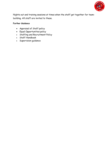

Nights out and training sessions at times when the staff get together for teambuilding. All staff are invited to these.

- Appraisal of Staff policy
- Equal Opportunities policy
- Staffing and Recruitment Policy
- Staff Handbook
- Supervision guidance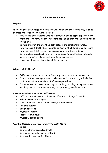

## **SELF HARM POLICY**

#### **Purpose**

In keeping with the Stepping Stone's values, vision and aims, this policy aims to address the issue of self-harm, including:

- How to deal with children who self-harm and how to offer support in the short and long term. To offer support depending upon the individual needs of the child.
- To help children improve their self-esteem and emotional literacy.
- How to support staff who come into contact with children who self-harm.
- How to prevent self-harm from spreading within the pre-school.
- To have clear guidelines for staff who needs to be informed, when do parents and external agencies need to be contacted.
- Education about self-harm for children and staff.

#### **What is Self-Harm?**

- Self-harm is when someone deliberately hurts or injures themselves.
- It is a continuum ranging from a behaviour which has strong suicidal intent to behaviour which is part of a coping mechanism.
- It can be used to describe cutting, scratching, burning, taking overdoses, punching oneself, substance abuse, self poisoning, unsafe sex etc.

## *Common Problems Preceding Self-Harm*

- Difficulties with parents / boy or girlfriends / siblings / friends.
- School problems / bullying
- Mental health issues e.g. depression, eating disorders.
- Low self esteem
- Sexual problems
- Physical ill health
- Alcohol / drug abuse
- Physical / sexual abuse

#### *Possible Reasons / Motives Underlying Self-Harm*

- To die
- To escape from unbearable distress
- To change the behaviour of others
- To show desperation to others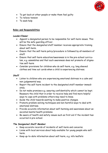

- To get back at other people or make them feel guilty
- To relieve tension
- To seek help

## **Roles and Responsibilities**

## *Leader/Owner*

- Appoint a designated person to be responsible for self-harm issues. This will be the safe guarding officer.
- Ensure that the designated staff member receives appropriate training about self-harm.
- Ensure that the self-harm policy/procedure is followed by all members of staff
- Ensure that self-harm education/awareness is in the pre-school curriculum, e.g. assemblies and that such awareness does not promote of stigmatise self-harm
- Consider provisions for children who do self-harm, e.g. long sleeved clothes and time out cards when a child is experiencing distress.

## *Staff*

- Listen to children who are experiencing emotional distress in a calm and non-judgemental way.
- Report the self-harm incident to the designated staff member immediately.
- Do not make promises e.g. assuring confidentiality which cannot be kept. Reassure the child that in order to receive help and find more helpful ways to cope with problems others may need to know.
- Guide the child towards wanting to make positive changes.
- Promote problem-solving techniques and non-harmful ways to deal with emotional distress.
- Provide accurate information about self-harming and awareness about associated mental health problems.
- Be aware of health and safety issues such as first aid if the incident has occurred in pre-school.

## *The Designated Staff Member*

- Keep accurate records of incidents of self-harm and concerns.
- Liaise with local services about help available for young people who selfharm.
- Keep up-to-date information about self-harm, e.g. info leaflets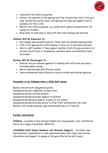

- Liaise with the child's keyworker
- Contact the parents at the appropriate time. Involve the child in this process. Inform the parent about the appropriate help and support that is available for their child.
- Monitor the child's progress, e.g. school work, general presentation, following the incident.
- Know when to seek help to deal with their own feelings and distress.

## *Children Will Be Expected To:*

- Not display open wounds/injuries. These must be dressed appropriately.
- Talk to the appropriate staff member if they are in emotional distress.
- Alert a staff member if they suspect another child of being suicidal or at serious risk of harm to themselves, and know when confidentiality must be broken.

## *Parents Will Be Encouraged To:*

- Endorse the pre-schools approach to dealing with self-harm and education/awareness raising.
- Work in partnership with the pre-school
- Seek professional help offered by the pre-school and outside agencies

## **Procedure to be followed when a Child Self-harms**

Raises concerns with designated person Designated person completes incident form Designated person informs parents Designated person provides support to parents Designated person puts support in place at pre-school Designated person provides advice to other staff working with the child Monitor and review progress, gain professional advice if required

## **Further information**

**ChildLine** – provides a free national helpline for young people, free confidential advice on a range of problems: 0800 1111

**LifeSIGNS (Self Injury Guidance and Network Support)** – An online, userlead voluntary organisation to raise awareness about self-injury and provide information and support to people of all ages affected by self-injury.